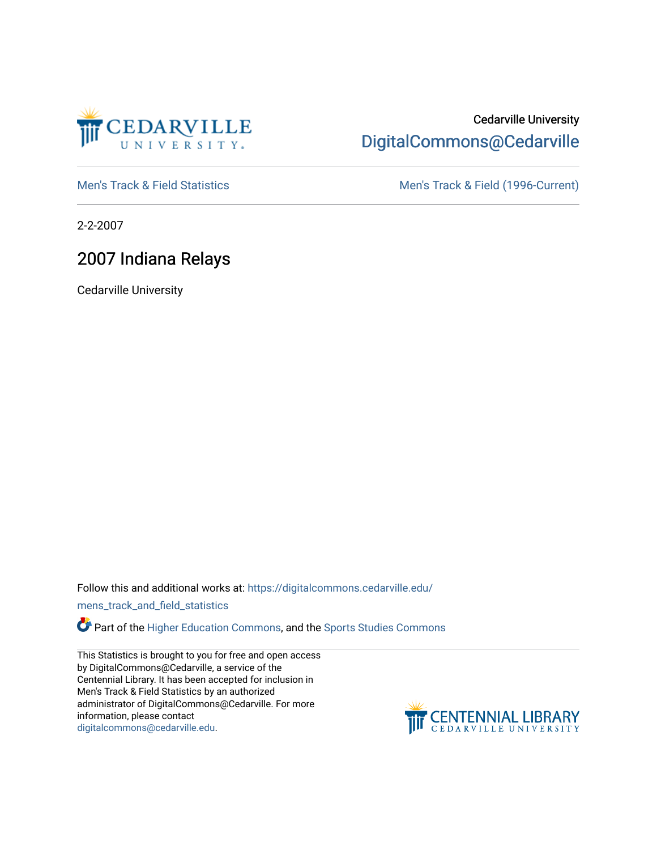

### Cedarville University [DigitalCommons@Cedarville](https://digitalcommons.cedarville.edu/)

[Men's Track & Field Statistics](https://digitalcommons.cedarville.edu/mens_track_and_field_statistics) [Men's Track & Field \(1996-Current\)](https://digitalcommons.cedarville.edu/mens_track_and_field) 

2-2-2007

### 2007 Indiana Relays

Cedarville University

Follow this and additional works at: [https://digitalcommons.cedarville.edu/](https://digitalcommons.cedarville.edu/mens_track_and_field_statistics?utm_source=digitalcommons.cedarville.edu%2Fmens_track_and_field_statistics%2F176&utm_medium=PDF&utm_campaign=PDFCoverPages)

[mens\\_track\\_and\\_field\\_statistics](https://digitalcommons.cedarville.edu/mens_track_and_field_statistics?utm_source=digitalcommons.cedarville.edu%2Fmens_track_and_field_statistics%2F176&utm_medium=PDF&utm_campaign=PDFCoverPages)

Part of the [Higher Education Commons,](http://network.bepress.com/hgg/discipline/1245?utm_source=digitalcommons.cedarville.edu%2Fmens_track_and_field_statistics%2F176&utm_medium=PDF&utm_campaign=PDFCoverPages) and the Sports Studies Commons

This Statistics is brought to you for free and open access by DigitalCommons@Cedarville, a service of the Centennial Library. It has been accepted for inclusion in Men's Track & Field Statistics by an authorized administrator of DigitalCommons@Cedarville. For more information, please contact [digitalcommons@cedarville.edu](mailto:digitalcommons@cedarville.edu).

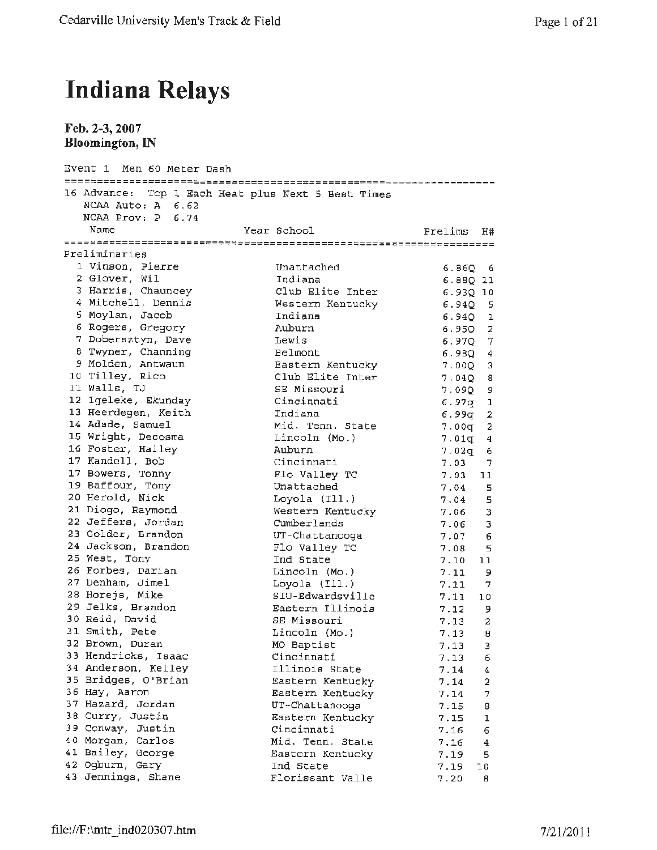# **Indiana Relays**

**Feb. 2-3, 2007 Bloomington, IN** 

| Event 1 Men 60 Meter Dash                    |                                                    |                                 |
|----------------------------------------------|----------------------------------------------------|---------------------------------|
| NCAA Auto: A 6.62<br>$NCAA$ $Prov: P \t6.74$ | 16 Advance: Top 1 Each Heat plus Next 5 Best Times |                                 |
| Name                                         | Year School                                        | Prelims<br>Η#                   |
|                                              |                                                    |                                 |
| Preliminaries                                |                                                    |                                 |
| 1 Vinson, Pierre                             | Unattached                                         | 6.860 6                         |
| 2 Glover, Wil                                | Indiana                                            | 6.88Q 11                        |
| 3 Harris, Chauncey                           | Club Elite Inter                                   | 6.930 10                        |
| 4 Mitchell, Dennis                           | Western Kentucky                                   | 6.940 5                         |
| 5 Moylan, Jacob                              | Indiana                                            | 6.9401                          |
| 6 Rogers, Gregory                            | Auburn                                             | $6.95Q$ 2                       |
| 7 Dobersztyn, Dave                           | Lewis                                              | $6.97Q$ 7                       |
| 8 Twyner, Channing                           | Belmont                                            | $6.98Q$ 4                       |
| 9 Molden, Antwaun                            | Eastern Kentucky                                   | 7.00Q 3                         |
| 10 Tilley, Rico                              | Club Elite Inter                                   | 7.040 B                         |
| 11 Walls, TJ                                 | SE Missouri                                        | 7.090<br>9                      |
| 12 Igeleke, Ekunday                          | Cincinnati                                         | 1<br>6.97σ                      |
| 13 Heerdegen, Keith                          | Indiana                                            | $\mathbf{2}$<br>6.99q           |
| 14 Adade, Samuel                             | Mid. Tenn. State                                   | 2<br>7.00g                      |
| 15 Wright, Decosma                           | Lincoln (Mo.)                                      | $\overline{4}$<br>7.01q         |
| 16 Foster, Hailey                            | Auburn                                             | 6<br>7.02q                      |
| 17 Kandell, Bob                              | Cincinnati                                         | 7.03<br>7.                      |
| 17 Bowers, Tonny<br>19 Baffour, Tony         | Flo Valley TC                                      | 7.03<br>11                      |
| 20 Herold, Nick                              | Unattached                                         | 7.04<br>5.                      |
| 21 Diogo, Raymond                            | Loyola $(111.)$                                    | 7.04<br>5                       |
| 22 Jeffers, Jordan                           | Western Kentucky<br>Cumberlands                    | 3<br>7.06                       |
| 23 Golder, Brandon                           | UT-Chattanooga                                     | 3<br>7.06                       |
| 24 Jackson, Brandon                          | Flo Valley TC                                      | 6<br>7.07<br>7.08               |
| 25 West, Tony                                | Ind State                                          | 5<br>7.10<br>11                 |
| 26 Forbes, Darian                            | Lincoln (Mo.)                                      | 7.11<br>9                       |
| 27 Denham, Jimel                             | Loyola (Ill.)                                      | 7.11<br>- 7                     |
| 28 Horejs, Mike                              | SIU-Edwardsville                                   | 7.11<br>10                      |
| 29 Jelks, Brandon                            | Eastern Illinois                                   | 7.12<br>9                       |
| 30 Reid, David                               | SE Missouri                                        | 7.13<br>2                       |
| 31 Smith, Pete                               | Lincoln (Mo.)                                      | 7.13<br>8                       |
| 32 Brown, Duran                              | MO Baptist                                         | 7.13<br>$\overline{\mathbf{3}}$ |
| 33 Hendricks, Isaac                          | Cincinnati                                         | 6<br>7.13                       |
| 34 Anderson, Kelley                          | Illinois State                                     | 7.14<br>4                       |
| 35 Bridges, O'Brian                          | Eastern Kentucky                                   | 7.14<br>2                       |
| 36 Hay, Aaron                                | Eastern Kentucky                                   | 7.14<br>7                       |
| 37 Hazard, Jordan                            | UT-Chattanooga                                     | 7.15<br>8                       |
| 38 Curry, Justin                             | Eastern Kentucky                                   | 7.15<br>ı                       |
| 39 Conway, Justin                            | Cincinnati                                         | 6<br>7.16                       |
| 40 Morgan, Carlos                            | Mid. Tenn. State                                   | 7.16<br>4                       |
| 41 Bailey, George                            | Eastern Kentucky                                   | 7.19<br>5                       |
| 42 Ogburn, Gary                              | Ind State                                          | 7.19<br>10                      |
| 43 Jennings, Shane                           | Florissant Valle                                   | 7.20<br>в                       |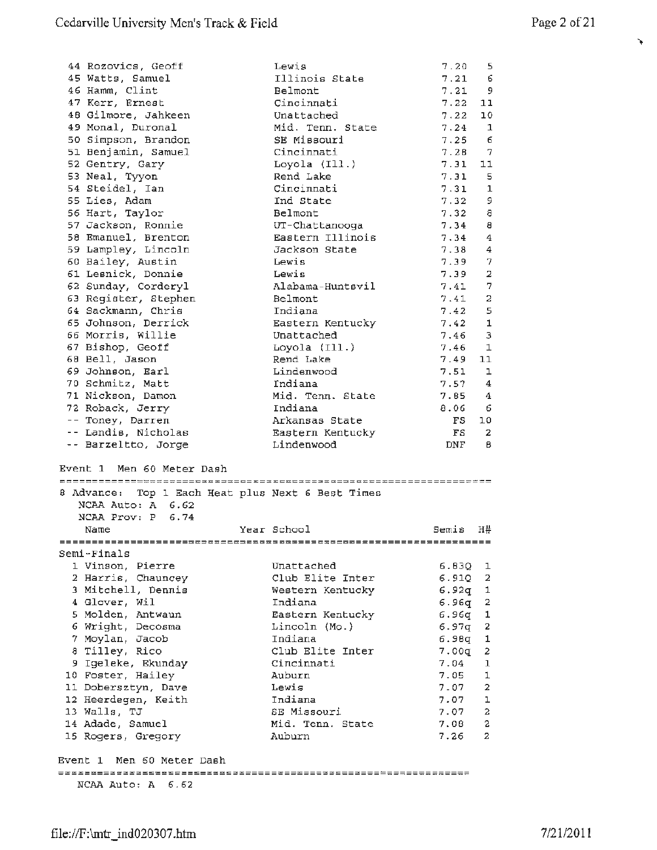$\hat{\mathbf{v}}$ 

| 44 Rozovics, Geoff                                                                  | Lewis                                             | 7.20           | 5.             |
|-------------------------------------------------------------------------------------|---------------------------------------------------|----------------|----------------|
| 45 Watts, Samuel                                                                    | Illinois State                                    | 7.21           | 6              |
| 46 Hamm, Clint                                                                      | Belmont                                           | 7.21           | 9              |
| 47 Kerr, Ernest                                                                     | Cincinnati                                        | 7.22           | 11             |
| 48 Gilmore, Jahkeen                                                                 | Unattached                                        | 7.22           | 10             |
| 49 Monal, Duronal                                                                   | Mid. Tenn. State                                  | 7.24           | $\mathbf{1}$   |
|                                                                                     | SE Missouri                                       | 7.25           | 6              |
| 50 Simpson, Brandon                                                                 |                                                   |                |                |
| 51 Benjamin, Samuel                                                                 | Cincinnati                                        | 7.28           | 7              |
| 52 Gentry, Gary                                                                     | Loyola $(111.)$                                   | 7.31           | 11             |
| 53 Neal, Tyyon                                                                      | Rend Lake                                         | 7.31           | 5              |
| 54 Steidel, Ian                                                                     | Cincinnati                                        | 7.31           | $\mathbf 1$    |
| 55 Lies, Adam                                                                       | Ind State                                         | 7.32           | 9              |
| 56 Hart, Taylor                                                                     | Belmont                                           | 7.32           | 8              |
| 57 Jackson, Ronnie                                                                  | UT-Chattanooga                                    | 7.34           | 8              |
| 58 Emanuel, Brenton                                                                 | Eastern Illinois                                  | 7.34           | 4              |
| 59 Lampley, Lincoln                                                                 | Jackson State                                     | 7.38           | 4              |
| 60 Bailey, Austin                                                                   | Lewis                                             | 7.39           | 7              |
| 61 Lesnick, Donnie                                                                  | Lewis                                             | 7.39           | 2              |
| 62 Sunday, Corderyl                                                                 | Alabama-Huntsvil                                  | 7.41           | 7              |
|                                                                                     |                                                   |                | 2              |
| 63 Register, Stephen                                                                | Belmont                                           | 7.41           |                |
| 64 Sackmann, Chris                                                                  | Indiana                                           | 7.42           | 5              |
| 65 Johnson, Derrick                                                                 | Eastern Kentucky                                  | 7.42           | $\mathbf{1}$   |
| 66 Morris, Willie                                                                   | Unattached                                        | 7.46           | з              |
| 67 Bishop, Geoff                                                                    | Loyola $(II.)$                                    | 7.46           | $\mathbf{1}$   |
| 68 Bell, Jason                                                                      | Rend Lake                                         | 7.49           | 11             |
| 69 Johnson, Earl                                                                    | Lindenwood                                        | 7.51           | ı              |
| 70 Schmitz, Matt                                                                    | Indiana                                           | 7.57           | 4              |
| 71 Nickson, Damon                                                                   | Mid. Tenn. State                                  | 7.85 4         |                |
| 72 Roback, Jerry                                                                    | Indiana                                           | 8.06           | 6              |
| -- Toney, Darren                                                                    | Arkansas State                                    | FS             | 10             |
| -- Landis, Nicholas                                                                 | Eastern Kentucky                                  | FS             | 2              |
| -- Barzeltto, Jorge                                                                 | Lindenwood                                        | DNF            | в              |
| Event 1 Men 60 Meter Dash<br>NCAA Auto: A 6.62<br>NCAA Prov: P<br>6.74              | 8 Advance: Top 1 Each Heat plus Next 6 Best Times |                |                |
| Name                                                                                | Year School                                       | Semis          | H#             |
|                                                                                     |                                                   |                |                |
| Semi-Finals                                                                         |                                                   |                |                |
| 1 Vinson, Pierre                                                                    | Unattached                                        | 6.830 1        |                |
| 2 Harris, Chauncey                                                                  | Club Elite Inter                                  | 6.910 2        |                |
| 3 Mitchell, Dennis                                                                  | Western Kentucky                                  | $6.92q$ 1      |                |
| 4 Glover, Wil                                                                       | Indiana                                           | $6.96q$ 2      |                |
| 5 Molden, Antwaun                                                                   | Eastern Kentucky                                  | $6.96q$ 1      |                |
| 6 Wright, Decosma                                                                   | Lincoln (Mo.)                                     | $6.97q$ 2      |                |
|                                                                                     |                                                   | $6.98q$ 1      |                |
|                                                                                     |                                                   |                |                |
| 7 Moylan, Jacob                                                                     | Indiana                                           |                |                |
| 8 Tilley, Rico                                                                      | Club Elite Inter                                  | 7.00q          | 2              |
| 9 Igeleke, Ekunday                                                                  | Cincinnati                                        | 7.04           | 1              |
| 10 Foster, Hailey                                                                   | Auburn                                            | 7.05           | 1              |
| 11 Dobersztyn, Dave                                                                 | Lewis                                             | $7 - 07$       | $\overline{a}$ |
| 12 Heerdegen, Keith                                                                 | Indiana                                           | $7.07 \quad 1$ |                |
| 13 Walls, TJ                                                                        | SE Missouri                                       | $7.07 \quad 2$ |                |
| 14 Adade, Samuel                                                                    | Mid. Tenn. State                                  | 7.08           | -2             |
| 15 Rogers, Gregory                                                                  | Auburn                                            | 7.26           | -2             |
| Event 1 Men 60 Meter Dash<br>=================================<br>NCAA Auto: A 6.62 |                                                   |                |                |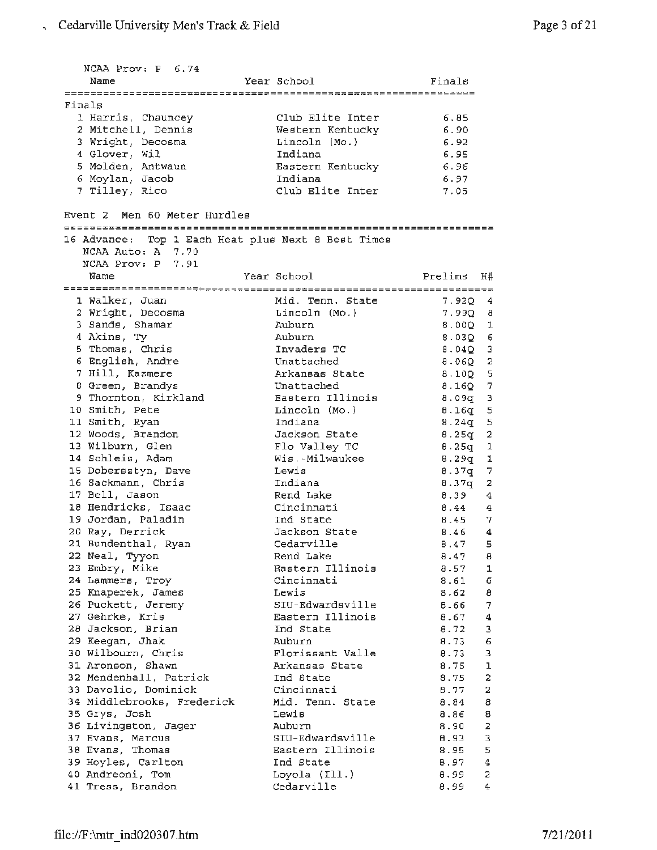NCAA Prov: P 6.74 Name Year School Finals Finals 1 Harris, Chauncey Club Elite Inter 6.85 <sup>2</sup>Mitchell, Dennis 6.90 Western Kentucky 3 Wright, Decosma Lincoln (Mo.) 6.92 <sup>4</sup>Glover, Wil Indiana 6.95 Eastern Kentucky 6.96 5 Molden, Antwaun Indiana 6 Moylan, Jacob 6.97 Club Elite Inter 7 Tilley, Rico 7.05 Event 2 Men 60 Meter Hurdles 16 Advance: Top 1 Each Heat plus Next 8 Best Times NCAA Auto: A 7.70 NCAA Prov: P 7.91 Prelims H# Year School Name Mid. Tenn. State 1 Walker, Juan 7.92Q 4 Lincoln **(Mo.** ) 2 Wright, Decosma 7.99Q 8 3 Sands, Shamar Auburn 8.00Q 1 4 Akins, Ty Auburn 8.03Q 6 5 Thomas, Chris Invaders TC 8.04Q 3 6 English, Andre Unattached 8.06Q 2 7 Hill, Kazmere Arkansas state 8.l0Q 5 8 Green, Brandys Unattached 8.16Q 7 Eastern Illinois 9 Thornton, Kirkland 8.09q <sup>3</sup> 10 Smith, Pete Lincoln (Mo. ) 8.16q S Indiana 11 Smith, Ryan  $8.24q$  5 Jackson State 12 Woods, Brandon  $8.25q - 2$ 13 Wilburn, Glen Flo Valley TC 8. 25q 1 14 Schleis, Adam 8. 29g 1 Wis. -Milwaukee 15 Dobersztyn, Dave Lewis 8.37q 7 16 sackmann, Chris Indiana  $8.37q - 2$ 17 Bell, Jason 8. 39 4 Rend Lake 18 Hendricks, Isaac Cincinnati 8. 44 4 Ind State 19 Jordan, Paladin 8. 45 7 20 Ray, Derrick Jackson State 8. 46 4 21 Bundenthal, Ryan Cedarville 8. 47 5 22 Neal, Tyyon Rend Lake 8.47 8 Eastern Illinois 23 Embry, Mike 8.57 1 Cincinnati 24 Lammers, Troy 8.61 6 25 Knaperek, James Lewis  $8.62 \t 8$ 26 Puckett, Jeremy SIU-Edwardsville 8.66 7 Eastern Illinois 27 Gehrke, Kris 8.67 4 28 Jackson, Brian Ind State 8. 72 3 29 Keegan, Jhak 8.73 6 Auburn 30 Wilbourn, Chris Florissant Valle 8.73 3 Arkansas State 31 Aronson, Shawn 8.75 1 32 Mendenhall, Patrick Ind State 8.75 2 33 Davolio, Dominick Cincinnati 8. 77 2 **Mid.** Tenn. State 34 Middlebrooks, Frederick 8.84 8 35 Grys, Josh 8.86 8 Lewis 36 Livingston, Jager 8.90 2 Auburn 37 Evans, Marcus SIU-Edwardsville B.93 3 Eastern Illinois 38 Evans, Thomas 8.95 5 Ind State 39 Hoyles, Carlton 8.97 4 Loyola ( Ill . ) 40 Andreoni, Tom 8.99 2 41 Tress, Brandon Cedarville 8.99 4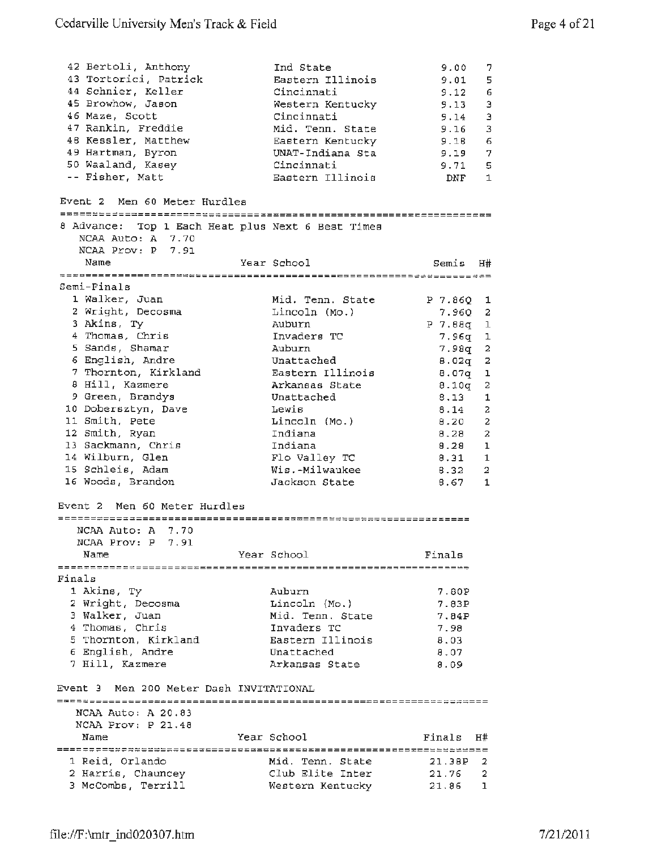| 42 Bertoli, Anthony<br>43 Tortorici, Patrick<br>44 Schnier, Keller<br>45 Browhow, Jason<br>46 Maze, Scott<br>47 Rankin, Freddie<br>48 Kessler, Matthew<br>49 Hartman, Byron<br>50 Waaland, Kasey<br>-- Fisher, Matt<br>Event 2 Men 60 Meter Hurdles | Ind State<br>Eastern Illinois<br>Cincinnati<br>Western Kentucky<br>Cincinnati<br>Mid. Tenn. State<br>Eastern Kentucky<br>UNAT-Indiana Sta<br>Cincinnati<br>Eastern Illinois | 9.00<br>9.01<br>9.12<br>9.13<br>9.14<br>9.16<br>9.18<br>9.19 7<br>9.71<br>DNF | 7.<br>5<br>6<br>Э<br>$\mathsf 3$<br>3<br>6<br>5<br>$\mathbf{1}$ |
|-----------------------------------------------------------------------------------------------------------------------------------------------------------------------------------------------------------------------------------------------------|-----------------------------------------------------------------------------------------------------------------------------------------------------------------------------|-------------------------------------------------------------------------------|-----------------------------------------------------------------|
|                                                                                                                                                                                                                                                     |                                                                                                                                                                             |                                                                               |                                                                 |
| 8 Advance: Top 1 Each Heat plus Next 6 Best Times<br>NCAA Auto: A 7.70<br>NCAA Prov: P 7.91                                                                                                                                                         |                                                                                                                                                                             |                                                                               |                                                                 |
| Name                                                                                                                                                                                                                                                | Year School                                                                                                                                                                 | Semis                                                                         | <b>H#</b>                                                       |
|                                                                                                                                                                                                                                                     |                                                                                                                                                                             |                                                                               |                                                                 |
| Semi-Finals                                                                                                                                                                                                                                         |                                                                                                                                                                             |                                                                               |                                                                 |
| 1 Walker, Juan                                                                                                                                                                                                                                      | Mid. Tenn. State                                                                                                                                                            | $P$ 7.860 1                                                                   |                                                                 |
| 2 Wright, Decosma                                                                                                                                                                                                                                   | Lincoln (Mo.)                                                                                                                                                               | 7.96Q 2                                                                       |                                                                 |
| 3 Akins, Ty                                                                                                                                                                                                                                         | Auburn                                                                                                                                                                      | P 7.88q 1                                                                     |                                                                 |
| 4 Thomas, Chris                                                                                                                                                                                                                                     | Invaders TC                                                                                                                                                                 | $7,96q$ 1                                                                     |                                                                 |
| 5 Sands, Shamar<br>6 English, Andre                                                                                                                                                                                                                 | Auburn<br>Unattached                                                                                                                                                        | 7.98q                                                                         | 2<br>2                                                          |
| 7 Thornton, Kirkland                                                                                                                                                                                                                                | Eastern Illinois                                                                                                                                                            | 8.02q<br>8.07q                                                                | ı                                                               |
| 8 Hill, Kazmere                                                                                                                                                                                                                                     | Arkansas State                                                                                                                                                              | 8.10q                                                                         | 2                                                               |
| 9 Green, Brandys                                                                                                                                                                                                                                    | Unattached                                                                                                                                                                  | 8.13                                                                          | 1                                                               |
| 10 Dobersztyn, Dave                                                                                                                                                                                                                                 | Lewis                                                                                                                                                                       | 8.14                                                                          | 2                                                               |
| 11 Smith, Pete                                                                                                                                                                                                                                      | Lincoln (Mo.)                                                                                                                                                               | 8.20                                                                          | 2                                                               |
| 12 Smith, Ryan                                                                                                                                                                                                                                      | Indiana                                                                                                                                                                     | 8.28                                                                          | 2                                                               |
| 13 Sackmann, Chris                                                                                                                                                                                                                                  | Indiana                                                                                                                                                                     | 8.28                                                                          | ı                                                               |
| 14 Wilburn, Glen                                                                                                                                                                                                                                    | Flo Valley TC                                                                                                                                                               | 8.31                                                                          | -1                                                              |
| 15 Schleis, Adam                                                                                                                                                                                                                                    | Wis.-Milwaukee                                                                                                                                                              | 8.32                                                                          | 2                                                               |
| 16 Woods, Brandon                                                                                                                                                                                                                                   | Jackson State                                                                                                                                                               | 8.67                                                                          | 1                                                               |
| Event 2 Men 60 Meter Hurdles                                                                                                                                                                                                                        |                                                                                                                                                                             |                                                                               |                                                                 |
| NCAA Auto: A 7.70                                                                                                                                                                                                                                   |                                                                                                                                                                             |                                                                               |                                                                 |
| NCAA Prov: P 7.91                                                                                                                                                                                                                                   |                                                                                                                                                                             |                                                                               |                                                                 |
| Name                                                                                                                                                                                                                                                | Year School                                                                                                                                                                 | Finals                                                                        |                                                                 |
|                                                                                                                                                                                                                                                     |                                                                                                                                                                             |                                                                               |                                                                 |
| Finals                                                                                                                                                                                                                                              |                                                                                                                                                                             |                                                                               |                                                                 |
| 1 Akins, Ty                                                                                                                                                                                                                                         | Auburn                                                                                                                                                                      | 7.80P                                                                         |                                                                 |
| 2 Wright, Decosma                                                                                                                                                                                                                                   | Lincoln (Mo.)                                                                                                                                                               | 7.83P                                                                         |                                                                 |
| 3 Walker, Juan<br>4 Thomas, Chris                                                                                                                                                                                                                   | Mid. Tenn. State<br>Invaders TC                                                                                                                                             | 7.84P                                                                         |                                                                 |
| 5 Thornton, Kirkland                                                                                                                                                                                                                                | Eastern Illinois                                                                                                                                                            | 7.98<br>8.03                                                                  |                                                                 |
| 6 English, Andre                                                                                                                                                                                                                                    | Unattached                                                                                                                                                                  | 8.07                                                                          |                                                                 |
| 7 Hill, Kazmere                                                                                                                                                                                                                                     | Arkansas State                                                                                                                                                              | 8.09                                                                          |                                                                 |
| Event 3 Men 200 Meter Dash INVITATIONAL                                                                                                                                                                                                             |                                                                                                                                                                             |                                                                               |                                                                 |
|                                                                                                                                                                                                                                                     |                                                                                                                                                                             |                                                                               |                                                                 |
| NCAA Auto: A 20.83<br>NCAA Prov: P 21.48                                                                                                                                                                                                            |                                                                                                                                                                             |                                                                               |                                                                 |
| Name                                                                                                                                                                                                                                                | Year School                                                                                                                                                                 | Finals                                                                        | H#                                                              |
|                                                                                                                                                                                                                                                     |                                                                                                                                                                             |                                                                               |                                                                 |
| 1 Reid, Orlando                                                                                                                                                                                                                                     | Mid. Tenn. State                                                                                                                                                            | 21.38P                                                                        | 2                                                               |
| 2 Harris, Chauncey                                                                                                                                                                                                                                  | Club Elite Inter                                                                                                                                                            | 21.76                                                                         | 2                                                               |
| 3 McCombs, Terrill                                                                                                                                                                                                                                  | Western Kentucky                                                                                                                                                            | 21.86                                                                         | 1                                                               |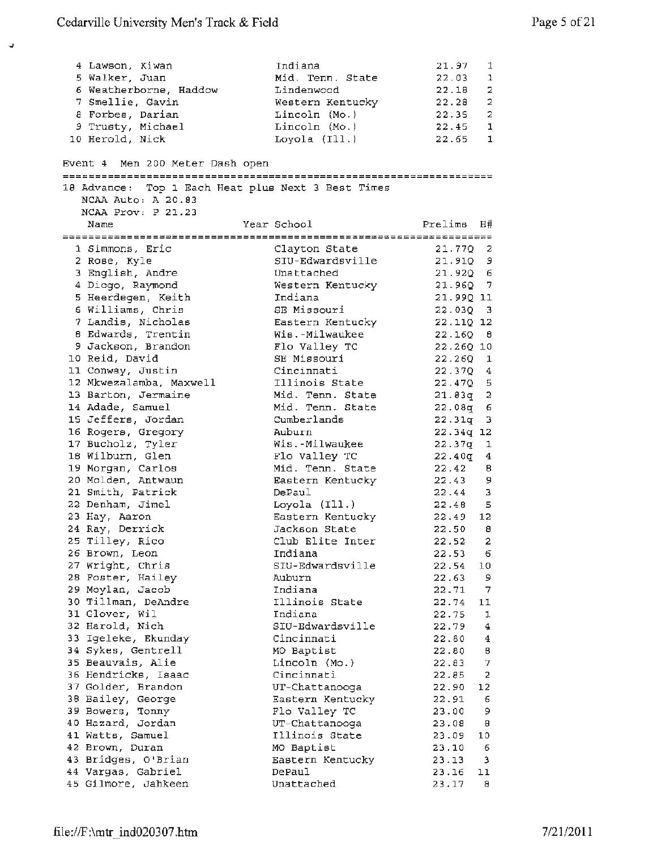$\overline{\phantom{a}}$ 

| 4 Lawson, Kiwan                                    | Indiana                           | 21.97                 | 1               |
|----------------------------------------------------|-----------------------------------|-----------------------|-----------------|
| 5 Walker, Juan                                     | Mid. Tenn. State                  | 22.03                 | 1               |
| 6 Weatherborne, Haddow                             | Lindenwood                        | 22.18                 | 2               |
| 7 Smellie, Gavin                                   | Western Kentucky                  | 22.28                 | 2               |
| 8 Forbes, Darian                                   | Lincoln (Mo.)                     | 22.35 2               |                 |
| 9 Trusty, Michael                                  | Lincoln (Mo.)                     | 22.45 1               |                 |
| 10 Herold, Nick                                    | Loyola (Ill.)                     | 22.65 1               |                 |
| Event 4 - Men 200 Meter Dash open                  |                                   |                       |                 |
|                                                    |                                   |                       |                 |
| 18 Advance: Top 1 Each Heat plus Next 3 Best Times |                                   |                       |                 |
| NCAA Auto: A 20.83                                 |                                   |                       |                 |
| NCAA Prov: P 21.23                                 |                                   |                       |                 |
| Name                                               | Year School                       | Prelims H#            |                 |
|                                                    |                                   |                       |                 |
| 1 Simmons, Eric                                    | Clayton State                     | $21.77Q$ 2            |                 |
| 2 Rose, Kyle                                       | SIU-Edwardsville                  | $21.91Q$ 9            |                 |
| 3 English, Andre                                   | Unattached                        | 21.9206               |                 |
| 4 Diogo, Raymond                                   | Western Kentucky                  | 21.960 7              |                 |
| 5 Heerdegen, Keith                                 | Indiana                           | 21.99Q 11             |                 |
| 6 Williams, Chris                                  | SE Missouri                       | $22.03Q - 3$          |                 |
| 7 Landis, Nicholas                                 | Eastern Kentucky                  | 22.11Q 12             |                 |
| 8 Edwards, Trentin                                 | Wis.-Milwaukee                    | 22.160B               |                 |
| 9 Jackson, Brandon                                 | Flo Valley TC                     | 22.26Q 10             |                 |
| 10 Reid, David                                     | SE Missouri                       | $22.26Q$ 1            |                 |
| 11 Conway, Justin                                  | Cincinnati                        | $22.37Q$ 4            |                 |
| 12 Mkwezalamba, Maxwell                            | Illinois State                    | $22.470 - 5$          |                 |
| 13 Barton, Jermaine                                | Mid. Tenn. State                  | $21.83q$ 2            |                 |
| 14 Adade, Samuel                                   | Mid. Tenn. State                  | $22.08q$ 6            |                 |
| 15 Jeffers, Jordan                                 | Cumberlands                       | $22.31q - 3$          |                 |
| 16 Rogers, Gregory                                 | Auburn                            | 22.34q 12             |                 |
| 17 Bucholz, Tyler                                  | Wis.-Milwaukee                    | $22.37q$ 1            |                 |
| 18 Wilburn, Glen                                   | Flo Valley TC                     | $22.40q$ 4            |                 |
| 19 Morgan, Carlos                                  | Mid. Tenn. State                  | 22.42 B               |                 |
| 20 Molden, Antwaun                                 | Eastern Kentucky                  | $22.43$ 9             |                 |
| 21 Smith, Patrick                                  | DePaul                            | $22.44$ 3             |                 |
| 22 Denham, Jimel<br>23 Hay, Aaron                  | Loyola (Ill.)                     | $22.48$ 5<br>22.49 12 |                 |
| 24 Ray, Derrick                                    | Eastern Kentucky<br>Jackson State | 22.50                 | 8               |
| 25 Tilley, Rico                                    | Club Elite Inter                  | 22.52 2               |                 |
| 26 Brown, Leon                                     | Indiana                           | 22.53                 | 6               |
| 27 Wright, Chris                                   | SIU-Edwardsville                  | 22.54                 | 10 <sub>1</sub> |
| 28 Foster, Hailey                                  | Auburn                            | 22.63                 | - 9             |
| 29 Moylan, Jacob                                   | Indiana                           | 22.71                 | $\overline{7}$  |
| 30 Tillman, DeAndre                                | Illinois State                    | 22.74                 | 11              |
| 31 Glover, Wil                                     | Indiana                           | 22.75                 | ı               |
| 32 Harold, Nich                                    | SIU-Edwardsville                  | 22.79                 | 4               |
| 33 Igeleke, Ekunday                                | Cincinnati                        | 22.80                 | 4               |
| 34 Sykes, Gentrell                                 | MO Baptist                        | 22.80                 | 8               |
| 35 Beauvais, Alie                                  | Lincoln (Mo.)                     | 22.83                 | 7               |
| 36 Hendricks, Isaac                                | Cincinnati                        | 22.85                 | $\overline{2}$  |
| 37 Golder, Brandon                                 | UT-Chattanooga                    | 22.90                 | 12              |
| 38 Bailey, George                                  | Eastern Kentucky                  | 22.91                 | 6               |
| 39 Bowers, Tonny                                   | Flo Valley TC                     | 23.00                 | 9               |
| 40 Hazard, Jordan                                  | UT-Chattanooga                    | 23.08                 | - 0             |
| 41 Watts, Samuel                                   | Illinois State                    | 23.09                 | 10              |
| 42 Brown, Duran                                    | MO Baptist                        | 23.10                 | -6              |
| 43 Bridges, O'Brian                                | Eastern Kentucky                  | 23.13                 | 3               |
| 44 Vargas, Gabriel                                 | DePaul                            | 23.16                 | 11              |
| 45 Gilmore, Jahkeen                                | Unattached                        | 23.17                 | 8               |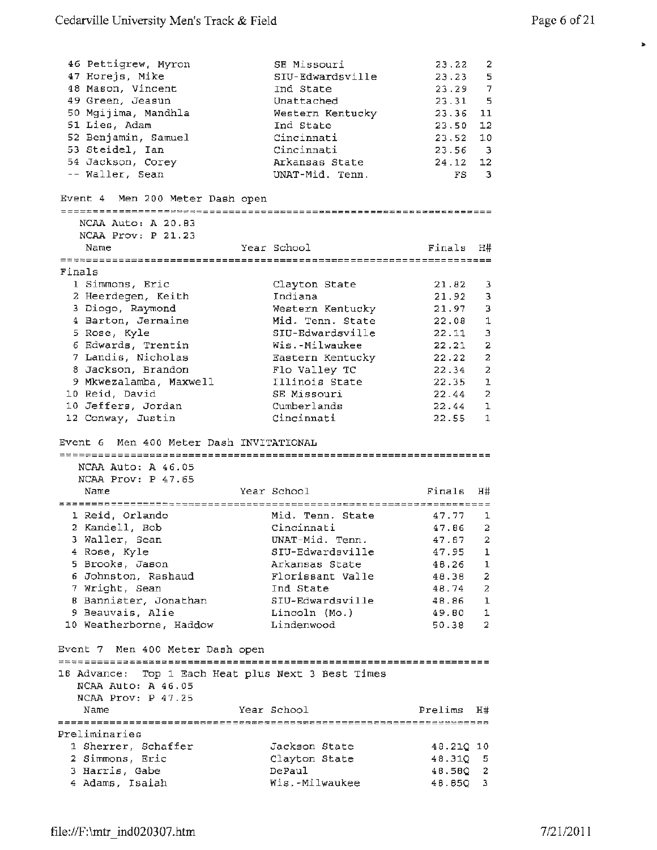►

| 46 Pettigrew, Myron<br>47 Horejs, Mike<br>48 Mason, Vincent<br>49 Green, Jeasun<br>50 Mgijima, Mandhla<br>51 Lies, Adam<br>52 Benjamin, Samuel<br>53 Steidel, Ian<br>54 Jackson, Corey<br>-- Waller, Sean | SE Missouri<br>SIU-Edwardsville<br>Ind State<br>Unattached<br>Western Kentucky<br>Ind State<br>Cincinnati<br>Cincinnati<br>Arkansas State<br>UNAT-Mid. Tenn. | 23.22<br>23.23 5<br>23.29 7<br>$23.31$ 5<br>23.36<br>23.50<br>23.52<br>$23.56$ 3<br>24.12 | 2<br>11<br>12<br>10<br>12<br>$FS = 3$ |
|-----------------------------------------------------------------------------------------------------------------------------------------------------------------------------------------------------------|--------------------------------------------------------------------------------------------------------------------------------------------------------------|-------------------------------------------------------------------------------------------|---------------------------------------|
| Event 4 Men 200 Meter Dash open                                                                                                                                                                           |                                                                                                                                                              |                                                                                           |                                       |
| NCAA Auto: A 20.83                                                                                                                                                                                        |                                                                                                                                                              |                                                                                           |                                       |
| NCAA Prov: P 21.23                                                                                                                                                                                        |                                                                                                                                                              |                                                                                           |                                       |
| Name                                                                                                                                                                                                      | Year School                                                                                                                                                  | Finals                                                                                    | H#                                    |
| Finals                                                                                                                                                                                                    |                                                                                                                                                              |                                                                                           |                                       |
| 1 Simmons, Eric                                                                                                                                                                                           | Clayton State                                                                                                                                                | 21.82                                                                                     | з                                     |
| 2 Heerdegen, Keith                                                                                                                                                                                        | Indiana                                                                                                                                                      | 21.92                                                                                     | з                                     |
| 3 Diogo, Raymond                                                                                                                                                                                          | Western Kentucky                                                                                                                                             | 21.97                                                                                     | 3                                     |
| 4 Barton, Jermaine                                                                                                                                                                                        | Mid. Tenn. State                                                                                                                                             | 22.08                                                                                     | $\mathbf{1}$                          |
| 5 Rose, Kyle                                                                                                                                                                                              | SIU-Edwardsville                                                                                                                                             | 22.11                                                                                     | з                                     |
| 6 Edwards, Trentin                                                                                                                                                                                        | Wis.-Milwaukee                                                                                                                                               | 22.21                                                                                     | 2                                     |
| 7 Landis, Nicholas                                                                                                                                                                                        | Eastern Kentucky                                                                                                                                             | 22.22                                                                                     | 2                                     |
| 8 Jackson, Brandon                                                                                                                                                                                        | Flo Valley TC                                                                                                                                                | 22.34                                                                                     | 2                                     |
| 9 Mkwezalamba, Maxwell                                                                                                                                                                                    | Illinois State                                                                                                                                               | $22.35$ 1                                                                                 |                                       |
| 10 Reid, David                                                                                                                                                                                            | SE Missouri                                                                                                                                                  | 22.44                                                                                     | 2                                     |
| 10 Jeffers, Jordan<br>12 Conway, Justin                                                                                                                                                                   | Cumberlands<br>Cincinnati                                                                                                                                    | 22.44<br>$22.55$ 1                                                                        | 1                                     |
| Event 6 Men 400 Meter Dash INVITATIONAL<br>NCAA Auto: A 46.05<br>NCAA Prov: P 47.65                                                                                                                       |                                                                                                                                                              |                                                                                           |                                       |
| Name                                                                                                                                                                                                      | Year School                                                                                                                                                  | Finals                                                                                    | H#                                    |
|                                                                                                                                                                                                           |                                                                                                                                                              |                                                                                           |                                       |
| 1 Reid, Orlando<br>2 Kandell, Bob                                                                                                                                                                         | Mid. Tenn. State<br>Cincinnati                                                                                                                               | 47.77<br>47.B6                                                                            | -1<br>2                               |
| 3 Waller, Sean                                                                                                                                                                                            | UNAT-Mid. Tenn.                                                                                                                                              | $47.87$ 2                                                                                 |                                       |
| 4 Rose, Kyle                                                                                                                                                                                              | SIU-Edwardsville                                                                                                                                             | 47.95                                                                                     | -1                                    |
| 5 Brooks, Jason                                                                                                                                                                                           | Arkansas State                                                                                                                                               | 48.26 1                                                                                   |                                       |
| 6 Johnston, Rashaud                                                                                                                                                                                       | Florissant Valle                                                                                                                                             | 48.38                                                                                     | $\overline{2}$                        |
| 7 Wright, Sean                                                                                                                                                                                            | Ind State                                                                                                                                                    | 48.74 2                                                                                   |                                       |
| 8 Bannister, Jonathan                                                                                                                                                                                     | SIU-Edwardsville                                                                                                                                             | 48.86 1                                                                                   |                                       |
| 9 Beauvais, Alie                                                                                                                                                                                          | Lincoln (Mo.)                                                                                                                                                | 49.80                                                                                     | $\mathbf{1}$                          |
| 10 Weatherborne, Haddow                                                                                                                                                                                   | Lindenwood                                                                                                                                                   | 50.38 2                                                                                   |                                       |
| Event 7 Men 400 Meter Dash open                                                                                                                                                                           |                                                                                                                                                              |                                                                                           |                                       |
| NCAA Auto: A 46.05<br>$NCAA$ $Prov: P$ 47.25                                                                                                                                                              | 18 Advance: Top 1 Each Heat plus Next 3 Best Times                                                                                                           |                                                                                           |                                       |
| Name                                                                                                                                                                                                      | Year School                                                                                                                                                  | Prelims                                                                                   | H#                                    |
|                                                                                                                                                                                                           |                                                                                                                                                              |                                                                                           |                                       |
| Preliminaries                                                                                                                                                                                             |                                                                                                                                                              |                                                                                           |                                       |
| 1 Sherrer, Schaffer                                                                                                                                                                                       | Jackson State                                                                                                                                                | 48.210 10                                                                                 |                                       |
| 2 Simmons, Eric                                                                                                                                                                                           | Clayton State                                                                                                                                                | 48.31Q 5                                                                                  |                                       |
| 3 Harris, Gabe                                                                                                                                                                                            | DePaul                                                                                                                                                       | 48.58Q 2                                                                                  |                                       |
| 4 Adams, Isaiah                                                                                                                                                                                           | Wis.-Milwaukee                                                                                                                                               | 48.85Q 3                                                                                  |                                       |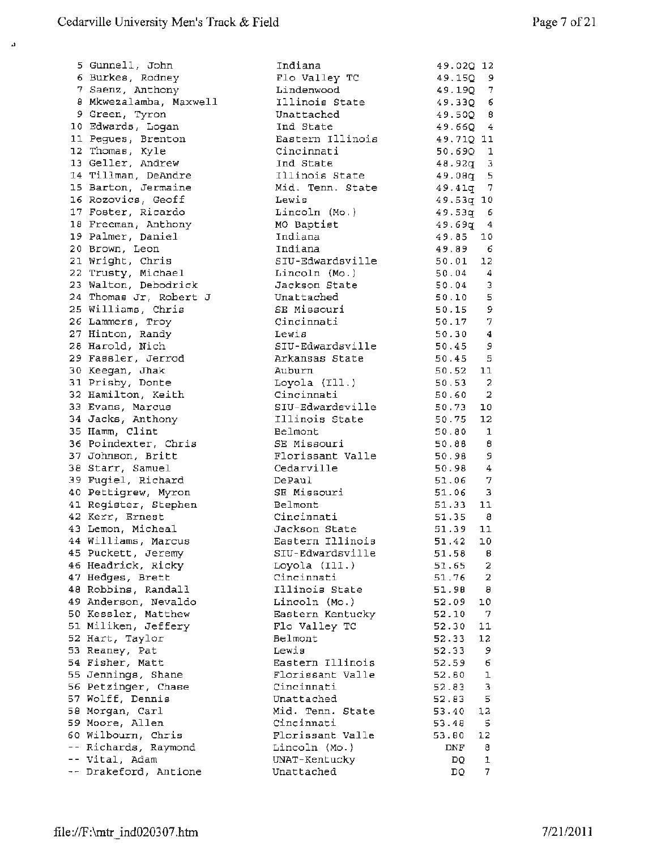.,

5 Gunnell, John 6 Burkes, Radney 7 Saenz, Anthony 8 Mkwezalamba, Maxwell 9 Green, Tyron 10 Edwards, Logan 11 Pegues, Brenton 12 Thomas, Kyle 13 Geller, Andrew 14 Tillman, DeAndre 15 Barton, Jermaine 16 Rozovics, Geoff 17 Foster, Ricardo 18 Freeman, Anthony 19 Palmer, Daniel 20 Brown, Leon 21 Wright, Chris 22 Trusty, Michael 23 Walton, Debodrick 24 Thomas Jr, Robert J 25 Williams, Chris 26 Lammers, Troy 27 Hinton, Randy 28 Harold, Nich 29 Fassler, Jerrod 30 Keegan, Jhak 31 Prisby, Donte 32 Hamilton, Keith 33 Evans, Marcus 34 Jacks, Anthony 35 Hamm, Clint 36 Poindexter, Chris 37 Johnson, Britt 38 Starr, Samuel 39 Fugiel, Richard 40 Pettigrew, Myron 41 Register, Stephen 42 Kerr, Ernest 43 Lemon, Micheal 44 Williams, Marcus 45 Puckett, Jeremy 46 Headrick, Ricky 47 Hedges, Brett 48 Robbins, Randall 49 Anderson, Nevaldo 50 Kessler, Matthew 51 Miliken, Jeffery 52 Hart, Taylor 53 Reaney, Pat 54 Fisher, Matt 55 Jennings, Shane 56 Petzinger, Chase 57 Wolff, Dennis 58 Morgan, Carl 59 Moore, Allen 60 Wilbourn, Chris -- Richards, Raymond Vital, Adam -- Drakeford, Antione

| Indiana                            | 49.02 <u>0</u> 12                      |                         |
|------------------------------------|----------------------------------------|-------------------------|
| Flo Valley TC                      | 49.150 9                               |                         |
| Lindenwood                         | $49.19Q$ 7<br>$49.33Q$ 6<br>$49.50Q$ 8 |                         |
| Illinois State                     |                                        |                         |
| Unattached                         |                                        |                         |
| Ind State                          | $49.66Q - 4$                           |                         |
| Eastern Illinois                   | 49.71Q 11                              |                         |
| Cincinnati                         | 50.69Q 1                               |                         |
| Ind State                          | $48.92q$ 3                             |                         |
| Illinois State                     | 49.08q 5                               |                         |
| Mid. Tenn. State                   | 49.41q 7                               |                         |
| Lewis                              | 49.53q 10                              |                         |
| Lincoln (Mo.)                      | 49.53q 6                               |                         |
| MO Baptist                         | $49.69q$ 4<br>$49.85$ 10               |                         |
| Indiana                            |                                        |                         |
| Indiana                            | 49.89 6                                |                         |
| SIU-Edwardsville                   | $50.01$ 12                             |                         |
| Lincoln (Mo.)                      | $50.04$ 4                              |                         |
| Jackson State                      | $50.04$ 3                              |                         |
| Unattached                         | 50.10 5                                |                         |
| SE Missouri                        | 50.15 9<br>50.17 7<br>50.30 4          |                         |
| Cincinnati                         |                                        |                         |
| Lewis                              | $50.45$ 9                              |                         |
| SIU-Edwardsville                   |                                        |                         |
| Arkansas State                     | $50.45$ 5                              |                         |
| Auburn                             | $50.52$ 11                             |                         |
| Loyola (Ill.)                      | $50.53$ 2                              |                         |
| Cincinnati                         | 50.60 2                                |                         |
| SIU-Edwardsville<br>Illinois State | 50.73                                  | 10<br>12                |
| Belmont                            | 50.75                                  | $\overline{1}$          |
| SE Missouri                        | 50.80                                  | $\overline{\mathbf{B}}$ |
| Florissant Valle                   | 50.88<br>50.98 9                       |                         |
| Cedarville                         | 50.98 4                                |                         |
| DePaul                             | 51.06 7                                |                         |
| SE Missouri                        | $51.06$ 3                              |                         |
| Belmont                            | $51.33$ 11                             |                         |
| Cincinnati                         | 51.35 8                                |                         |
| Jackson State                      | 51.39 11                               |                         |
| Eastern Illinois                   | $51.42$ 10                             |                         |
| SIU-Edwardsville                   | 51.58                                  | в                       |
| Loyola (Ill.)                      | 51.65                                  | $\overline{\mathbf{2}}$ |
| Cincinnati                         | 51.76                                  | 2                       |
| Illinois State                     | 51.90                                  | $\theta$                |
| Lincoln (Mo.)                      | 52.09                                  | 10                      |
| Eastern Kentucky                   | 52.10                                  | $\mathcal{I}$           |
| Flo Valley TC                      | 52.30                                  | 11                      |
| Belmont                            | 52.33                                  | 12                      |
| Lewis                              | 52.33                                  | 9                       |
| Eastern Illinois                   | 52.59                                  | 6                       |
| Florissant Valle                   | 52.80                                  | ı                       |
| Cincinnati                         | 52.83                                  | 3                       |
| Unattached                         | 52.83                                  | 5                       |
| Mid. Tenn. State                   | 53.40                                  | 12                      |
| Cincinnati                         | 53.48                                  | 5                       |
| Florissant Valle                   | 53.80                                  | 12                      |
| Lincoln (Mo.)                      | DNF                                    | 8                       |
| UNAT-Kentucky                      | DQ.                                    | 1                       |
| Unattached                         | DQ                                     | 7                       |
|                                    |                                        |                         |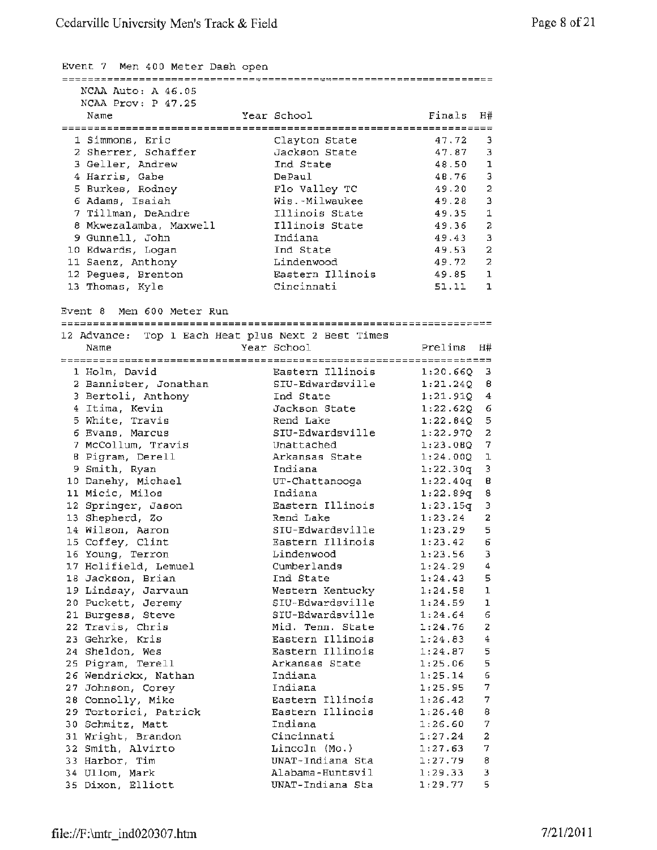#### Event 7 Men 400 Meter Dash open

| NCAA Auto: A 46.05                                 |                                      |          |                         |
|----------------------------------------------------|--------------------------------------|----------|-------------------------|
| NCAA Prov: P 47.25                                 |                                      |          |                         |
| Name                                               | Year School                          | Finals   | H#                      |
|                                                    |                                      |          |                         |
| 1 Simmons, Eric                                    | Clavton State                        | 47.72    | 3                       |
| 2 Sherrer, Schaffer                                | Jackson State                        | 47.87    | 3                       |
| 3 Geller, Andrew                                   | Ind State                            | 48.50    | 1                       |
| 4 Harris, Gabe                                     | DePaul                               | 48.76    | $\overline{3}$          |
| 5 Burkes, Rodney                                   | Flo Valley TC                        | 49.20    | $\overline{a}$          |
| 6 Adams, Isaiah                                    | Wis.-Milwaukee                       | 49.28    | $\mathbf 3$             |
| 7 Tillman, DeAndre                                 | Illinois State                       | 49.35    | $\mathbf 1$             |
| 8 Mkwezalamba, Maxwell                             | Illinois State                       | 49.36    | $\overline{a}$          |
| 9 Gunnell, John                                    | Indiana                              | 49.43    | 3                       |
| 10 Edwards, Logan                                  | Ind State                            | 49.53    | $\overline{\mathbf{2}}$ |
| 11 Saenz, Anthony                                  | Lindenwood                           | 49.72    | $\overline{a}$          |
| 12 Pegues, Brenton                                 | Eastern Illinois                     | 49.85    | 1                       |
| 13 Thomas, Kyle                                    | Cincinnati                           | 51.11    | $\mathbf{1}$            |
|                                                    |                                      |          |                         |
| Event 8 Men 600 Meter Run                          |                                      |          |                         |
|                                                    |                                      |          |                         |
| 12 Advance: Top 1 Each Heat plus Next 2 Best Times |                                      |          |                         |
| Name                                               | Year School                          | Prelims  | Η#                      |
|                                                    |                                      |          |                         |
| 1 Holm, David                                      | Eastern Illinois                     | 1:20.660 | 3                       |
| 2 Bannister, Jonathan                              | SIU-Edwardsville                     | 1:21.240 | 8                       |
| 3 Bertoli, Anthony                                 | Ind State                            | 1:21.91Q | 4                       |
| 4 Itima, Kevin                                     | Jackson State                        | 1:22.620 | 6                       |
| 5 White, Travis                                    | Rend Lake                            | 1:22.64Q | 5                       |
| 6 Evans, Marcus                                    | SIU-Edwardsville                     | 1:22.970 | $\overline{\mathbf{z}}$ |
| 7 McCollum, Travis                                 | Unattached                           | 1:23.080 | 7                       |
| 8 Pigram, Derell                                   | Arkansas State                       | 1:24.000 | ı                       |
| 9 Smith, Ryan                                      | Indiana                              | 1:22.30q | 3                       |
| 10 Danehy, Michael                                 | UT-Chattanooga                       | 1:22.40q | В                       |
| 11 Micic, Milos                                    | Indiana                              | 1:22.89q | 8                       |
| 12 Springer, Jason                                 | Eastern Illinois                     | 1:23.15q | $\overline{3}$          |
| 13 Shepherd, Zo                                    | Rend Lake                            | 1:23.24  | $\overline{\mathbf{2}}$ |
| 14 Wilson, Aaron                                   | SIU-Edwardsville                     | 1:23.29  | 5                       |
| 15 Coffey, Clint                                   | Eastern Illinois                     | 1:23.42  | $\mathsf{6}$            |
| 16 Young, Terron                                   | Lindenwood                           | 1:23.56  | 3                       |
| 17 Holifield, Lemuel                               | Cumberlands                          | 1:24.29  | 4                       |
| 18 Jackson, Brian                                  | Ind State                            | 1:24.43  | 5                       |
| 19 Lindsay, Jarvaun                                |                                      |          | 1                       |
|                                                    | Western Kentucky                     | 1:24.58  |                         |
| 20 Puckett, Jeremy                                 | SIU-Edwardsville<br>SIU-Edwardsville | 1:24.59  | ı<br>6                  |
| 21 Burgess, Steve                                  |                                      | 1:24.64  |                         |
| 22 Travis, Chris                                   | Mid. Tenn. State<br>Eastern Illinois | 1:24.76  | 2                       |
| 23 Gehrke, Kris                                    |                                      | 1:24.83  | 4                       |
| 24 Sheldon, Wes                                    | Eastern Illinois                     | 1:24.87  | 5                       |
| 25 Pigram, Terell                                  | Arkansas State                       | 1:25.06  | 5                       |

Indiana Indiana

Indiana Cincinnati Lincoln (Mo.) UNAT-Indiana Sta Alabama-Huntsvil UNAT-Indiana Sta

Eastern Illinois Eastern Illinois 1:25.14 6 1:25.95 7 1:26.42 7 1:26.48 8 1:26.60 7  $1:27.24$  2 1:27.63 7 1:27.79 8 1:29.33 3 1:29.77 5

26 Wendrickx, Nathan 27 Johnson, Corey 28 Connolly, Mike 29 Tortorici, Patrick 30 Schmitz, Matt 31 Wright, Brandon 32 Smith, Alvirto 33 Harbor, Tim 34 Ullom, Mark 35 Dixon, Elliott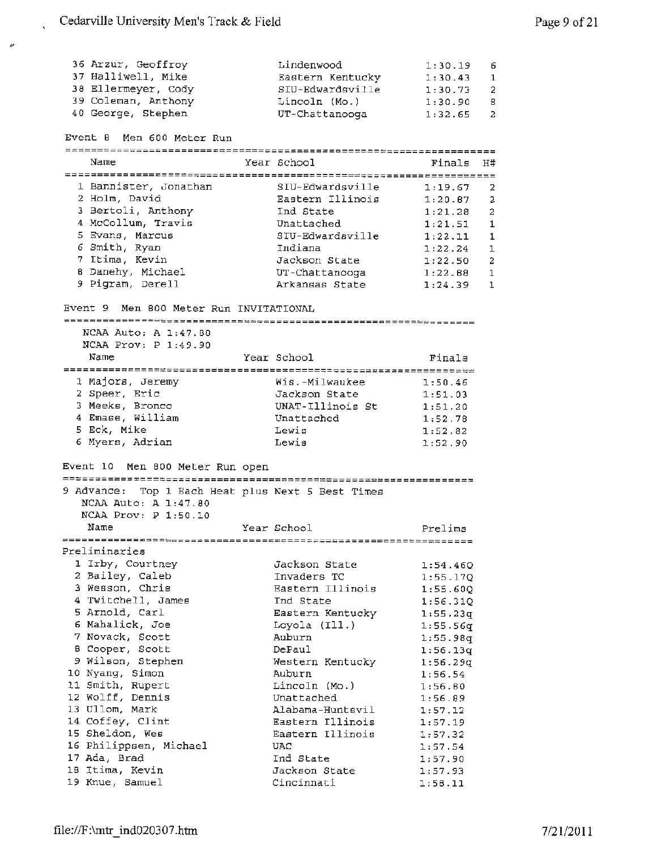| 36 Arzur, Geoffroy  | Lindenwood       | 1:30.19     | - 6          |
|---------------------|------------------|-------------|--------------|
| 37 Halliwell, Mike  | Eastern Kentucky | 1:30.43     | $\mathbf{1}$ |
| 38 Ellermeyer, Cody | SIU-Edwardsville | 1:30.73     | - 2          |
| 39 Coleman, Anthony | Lincoln (Mo.)    | 1:30.90     | - 6          |
| 40 George, Stephen  | UT-Chattanooga   | $1:32.65$ 2 |              |

#### Event 8 Men 600 Meter Run

 $\pmb{\nu}$ 

| Name                  | Year School      | Finals  | H#           |
|-----------------------|------------------|---------|--------------|
|                       |                  |         |              |
| 1 Bannister, Jonathan | SIU-Edwardsville | 1:19.67 | -2           |
| 2 Holm, David         | Eastern Illinois | 1:20.87 | 2            |
| 3 Bertoli, Anthony    | Ind State        | 1:21.28 | 2            |
| 4 McCollum, Travis    | Unattached       | 1:21.51 | 1            |
| 5 Evans, Marcus       | SIU-Edwardsville | 1:22.11 | -1.          |
| 6 Smith, Ryan         | Indiana          | 1:22.24 | $\mathbf{1}$ |
| 7 Itima, Kevin        | Jackson State    | 1:22.50 | 2            |
| 8 Danehy, Michael     | UT-Chattanooga   | 1:22.88 | 1            |
| 9 Pigram, Derell      | Arkansas State   | 1:24.39 | 1            |

### Event 9 Men 800 Meter Run INVITATIONAL

#### NCAA Auto: A 1:47.80 NCAA Prov: P 1:49.90

| Name             | Year School      | Finals  |
|------------------|------------------|---------|
| 1 Majors, Jeremy | Wis.-Milwaukee   | 1:50.46 |
| 2 Speer, Eric    | Jackson State    | 1:51.03 |
| 3 Meeks, Bronco  | UNAT-Illinois St | 1:51.20 |
| 4 Emase, William | Unattached       | 1:52.78 |
| 5 Eck, Mike      | Lewis            | 1:52.82 |
| 6 Myers, Adrian  | Lewis            | 1:52.90 |

#### Event 10 Men 800 Meter Run open

## 9 Advance: Top 1 Each Heat plus Next 5 Best Times

NCAA Auto: A 1:47.80 NCAA Prov: P 1:50.10

Name **Year School** Preliminaries Prelims

| 1 Irby, Courtney       | Jackson State    | 1:54.46Q |
|------------------------|------------------|----------|
| 2 Bailey, Caleb        | Invaders TC      | 1:55.170 |
| 3 Wesson, Chris        | Eastern Illinois | 1:55.600 |
| 4 Twitchell, James     | Ind State        | 1:56.31Q |
| 5 Arnold, Carl         | Eastern Kentucky | 1:55.23q |
| 6 Mahalick, Joe        | Loyola (Ill.)    | 1:55.56q |
| 7 Novack, Scott        | Auburn           | 1:55.98q |
| B Cooper, Scott        | DePaul           | 1:56.13q |
| 9 Wilson, Stephen      | Western Kentucky | 1:56.29q |
| 10 Nyang, Simon        | Auburn           | 1:56.54  |
| 11 Smith, Rupert       | Lincoln (Mo.)    | 1:56.80  |
| 12 Wolff, Dennis       | Unattached       | 1:56.89  |
| 13 Ullom, Mark         | Alabama-Huntsvil | 1:57.12  |
| 14 Coffey, Clint       | Eastern Illinois | 1:57.19  |
| 15 Sheldon, Wes        | Eastern Illinois | 1:57.32  |
| 16 Philippsen, Michael | UAC.             | 1:57.54  |
| 17 Ada, Brad           | Ind State        | 1:57.90  |
| 18 Itima, Kevin        | Jackson State    | 1:57.93  |
| 19 Knue, Samuel        | Cincinnati       | 1:58.11  |
|                        |                  |          |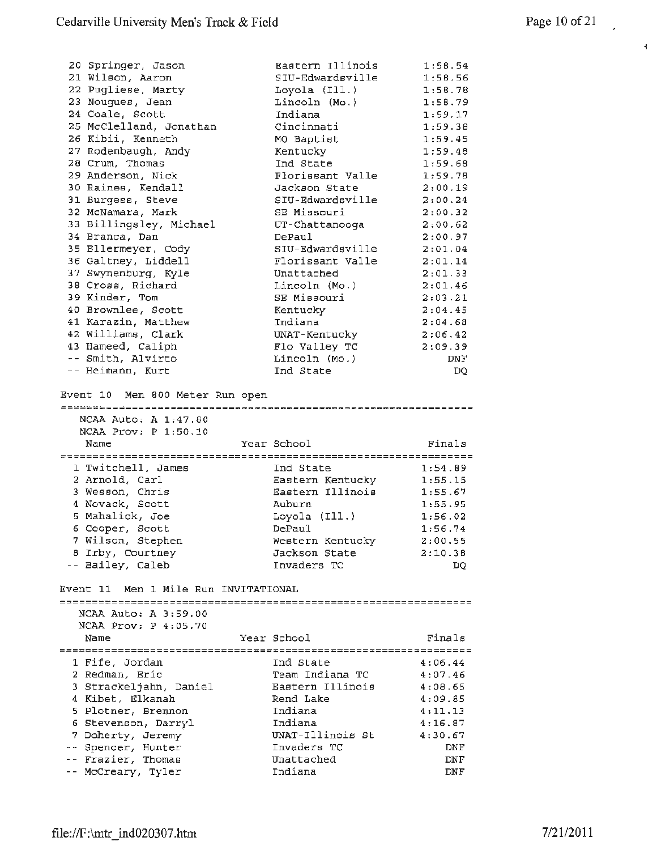|                                          | Eastern Illinois      |            |
|------------------------------------------|-----------------------|------------|
| 20 Springer, Jason                       |                       | 1:58.54    |
| 21 Wilson, Aaron                         | SIU-Edwardsville      | 1:58.56    |
| 22 Pugliese, Marty                       | Loyola (Ill.)         | 1:58.78    |
| 23 Nougues, Jean                         | Lincoln (Mo.)         | 1:58.79    |
| 24 Coale, Scott                          | Indiana               | 1:59.17    |
| 25 McClelland, Jonathan                  | Cincinnati            | 1:59.38    |
| 26 Kibii, Kenneth                        | MO Baptist            | 1:59.45    |
| 27 Rodenbaugh, Andy                      | Kentucky              | 1:59.48    |
| 28 Crum, Thomas                          | Ind State             | 1:59.68    |
| 29 Anderson, Nick                        | Florissant Valle      | 1:59.78    |
| 30 Raines, Kendall                       | Jackson State         | 2:00.19    |
| 31 Burgess, Steve                        | SIU-Edwardsville      | 2:00.24    |
|                                          |                       |            |
| 32 McNamara, Mark                        | SE Missouri           | 2:00.32    |
| 33 Billingsley, Michael                  | UT-Chattanooga        | 2:00.62    |
| 34 Branca, Dan                           | DePaul                | 2:00.97    |
| 35 Ellermeyer, Cody                      | SIU-Edwardsville      | 2:01.04    |
| 36 Galtney, Liddell                      | Florissant Valle      | 2:01.14    |
| 37 Swynenburg, Kyle                      | Unattached            | 2:01.33    |
| 38 Cross, Richard                        | Lincoln (Mo.)         | 2:01.46    |
| 39 Kinder, Tom                           | SE Missouri           | 2:03.21    |
| 40 Brownlee, Scott                       | Kentucky              | 2:04.45    |
| 41 Karazin, Matthew                      | Indiana               | 2:04.68    |
| 42 Williams, Clark                       | UNAT-Kentucky         | 2:06.42    |
| 43 Hameed, Caliph                        | Flo Valley TC         | 2:09.39    |
| -- Smith, Alvirto                        | Lincoln (Mo.)         | DNF        |
| -- Heimann, Kurt                         | Ind State             |            |
|                                          |                       | DQ         |
| Event 10 Men 800 Meter Run open          |                       |            |
| NCAA Auto: A 1:47.80                     |                       |            |
| NCAA Prov: P 1:50.10                     |                       |            |
| Name                                     | Year School           | Finals     |
|                                          |                       |            |
| 1 Twitchell, James                       | Ind State             | 1:54.89    |
| 2 Arnold, Carl                           | Eastern Kentucky      | 1:55.15    |
| 3 Wesson, Chris                          | Eastern Illinois      | 1:55.67    |
| 4 Novack, Scott                          | Auburn                | 1:55.95    |
| 5 Mahalick, Joe                          | Loyola (Ill.)         | 1:56.02    |
| 6 Cooper, Scott                          | DePaul                | 1:56.74    |
| 7 Wilson, Stephen                        | Western Kentucky      | 2:00.55    |
| 8 Irby, Courtney                         | Jackson State         | 2:10.38    |
| -- Bailey, Caleb                         | Invaders TC           | DQ         |
| Men 1 Mile Run INVITATIONAL<br>Event 11  |                       |            |
| NCAA Auto: A 3:59.00                     |                       |            |
| NCAA Prov: $P$ 4:05.70                   |                       |            |
| Name                                     | Year School           |            |
|                                          |                       | Finals     |
|                                          |                       |            |
| 1 Fife, Jordan                           | Ind State             | 4:06.44    |
| 2 Redman, Eric                           | Team Indiana TC       | 4:07.46    |
| 3 Strackeljahn, Daniel                   | Eastern Illinois      | 4:08.65    |
| 4 Kibet, Elkanah                         | Rend Lake             | 4:09.85    |
| 5 Plotner, Brennon                       | Indiana               | 4:11.13    |
| 6 Stevenson, Darryl                      | Indiana               | 4:16.87    |
| 7 Doherty, Jeremy                        | UNAT-Illinois St      | 4:30.67    |
| -- Spencer, Hunter                       | Invaders TC           | DNF        |
| -- Frazier, Thomas<br>-- McCreary, Tyler | Unattached<br>Indiana | DNF<br>DNF |

 $\vec{\mathbf{z}}$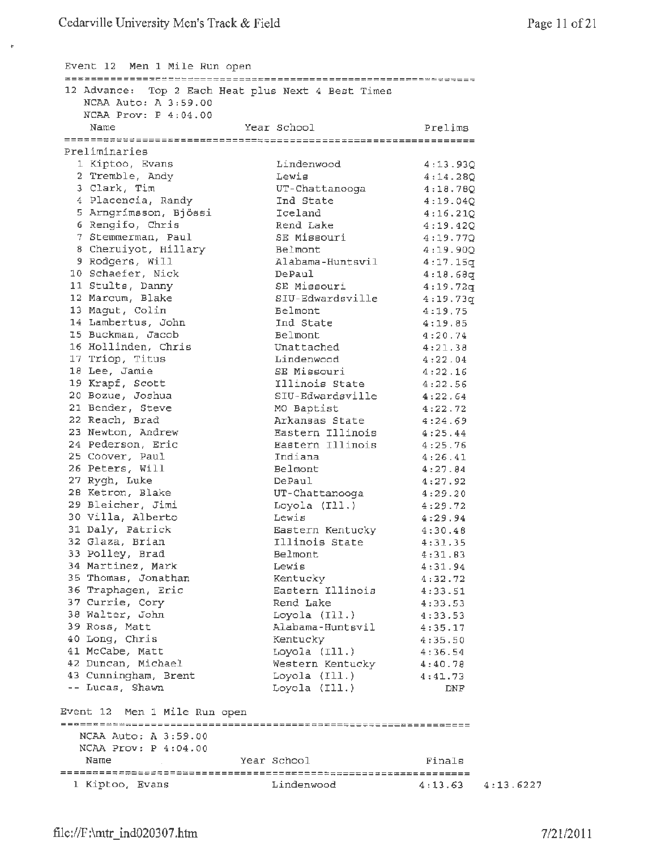$\bar{\tau}$ 

| Event 12 Men 1 Mile Run open          |                                                    |                      |
|---------------------------------------|----------------------------------------------------|----------------------|
|                                       | 12 Advance: Top 2 Each Heat plus Next 4 Best Times |                      |
| NCAA Auto: A 3:59.00                  |                                                    |                      |
| NCAA Prov: $P$ 4:04.00                |                                                    |                      |
| Name                                  | Year School                                        | Prelims              |
|                                       |                                                    |                      |
| Preliminaries                         |                                                    |                      |
| 1 Kiptoo, Evans                       | Lindenwood                                         | 4:13.93Q             |
| 2 Tremble, Andy                       | Lewis                                              | 4:14.280             |
| 3 Clark, Tim                          | UT-Chattanooga                                     | 4:18.78Q             |
| 4 Placencia, Randy                    | Ind State                                          | 4:19.04Q             |
| 5 Arngrímsson, Bjössi                 | Iceland                                            | 4:16.210             |
| 6 Rengifo, Chris                      | Rend Lake                                          | 4:19.420             |
| 7 Stemmerman, Paul                    | SE Missouri                                        | 4:19.77Q             |
| 8 Cheruiyot, Hillary                  | Belmont                                            | 4:19.90Q             |
| 9 Rodgers, Will                       | Alabama-Huntsvil                                   | 4:17.15q             |
| 10 Schaefer, Nick                     | DePaul                                             | 4:18.68q             |
| 11 Stults, Danny                      | SE Missouri                                        | 4:19.72q             |
| 12 Marcum, Blake                      | SIU-Edwardsville                                   | 4:19.73q             |
| 13 Magut, Colin<br>14 Lambertus, John | Belmont                                            | 4:19.75              |
| 15 Buckman, Jacob                     | Ind State<br><b>Belmont</b>                        | 4:19.85              |
| 16 Hollinden, Chris                   | Unattached                                         | 4:20.74<br>4:21.38   |
| 17 Triop, Titus                       | Lindenwood                                         | 4:22.04              |
| 18 Lee, Jamie                         | SE Missouri                                        | 4:22.16              |
| 19 Krapf, Scott                       | Illinois State                                     | 4:22.56              |
| 20 Bozue, Joshua                      | SIU-Edwardsville                                   | 4:22.64              |
| 21 Bender, Steve                      | MO Baptist                                         | 4:22.72              |
| 22 Reach, Brad                        | Arkansas State                                     | 4:24.69              |
| 23 Newton, Andrew                     | Eastern Illinois                                   | 4:25.44              |
| 24 Pederson, Eric                     | Eastern Illinois                                   | 4:25.76              |
| 25 Coover, Paul                       | Indiana                                            | 4:26.41              |
| 26 Peters, Will                       | Belmont                                            | 4:27.84              |
| 27 Rygh, Luke                         | DePaul                                             | 4:27.92              |
| 28 Ketron, Blake                      | UT-Chattanooga                                     | 4:29.20              |
| 29 Bleicher, Jimi                     | Loyola (Ill.)                                      | 4:29.72              |
| 30 Villa, Alberto                     | Lewis                                              | 4:29.94              |
| 31 Daly, Patrick                      | Eastern Kentucky                                   | 4:30.48              |
| 32 Glaza, Brian                       | Illinois State                                     | 4:31.35              |
| 33 Polley, Brad                       | Belmont                                            | 4:31.63              |
| 34 Martinez, Mark                     | Lewis                                              | 4:31.94              |
| 35 Thomas, Jonathan                   | Kentucky                                           | 4:32.72              |
| 36 Traphagen, Eric                    | Eastern Illinois                                   | 4:33.51              |
| 37 Currie, Cory                       | Rend Lake                                          | 4:33.53              |
| 38 Walter, John                       | Loyola $(111.)$                                    | 4:33.53              |
| 39 Ross, Matt                         | Alabama-Huntsvil                                   | 4:35.17              |
| 40 Long, Chris                        | Kentucky                                           | 4:35.50              |
| 41 McCabe, Matt                       | Loyola (Ill.)                                      | 4:36.54              |
| 42 Duncan, Michael                    | Western Kentucky                                   | 4:40.78              |
| 43 Cunningham, Brent                  | Loyola $(111.)$                                    | 4:41.73              |
| -- Lucas, Shawn                       | Loyola (Ill.)                                      | DNF                  |
| Event 12 Men 1 Mile Run open          |                                                    |                      |
|                                       |                                                    |                      |
| NCAA Auto: A 3:59.00                  |                                                    |                      |
| NCAA Prov: P 4:04.00                  |                                                    |                      |
| Name                                  | Year School                                        | Finals               |
|                                       |                                                    |                      |
| 1 Kiptoo, Evans                       | Lindenwood                                         | 4:13.63<br>4:13.6227 |
|                                       |                                                    |                      |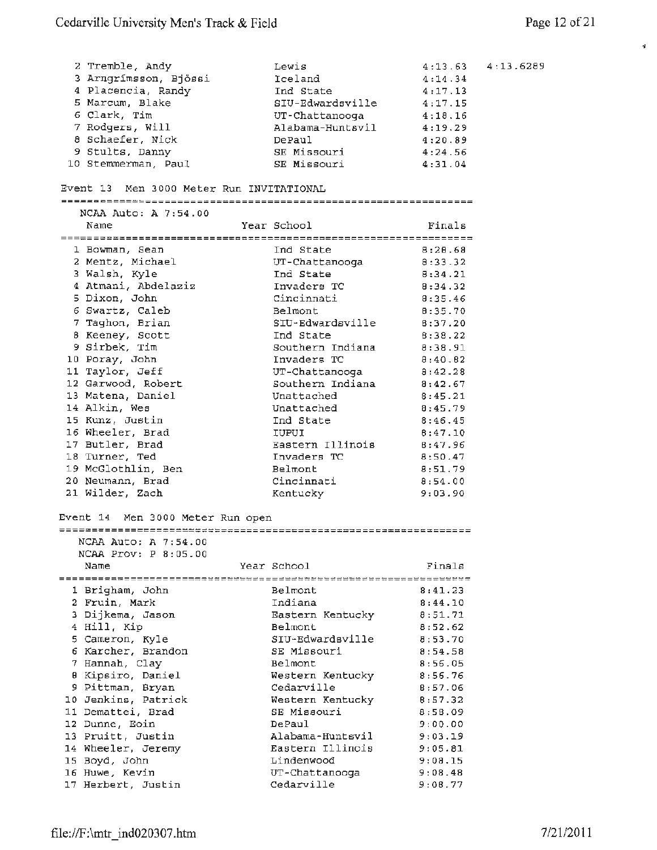$\mathbf{s}$ 

4 : 13.6289

| 2 Tremble, Andy                          | Lewis            | 4:13.63 |
|------------------------------------------|------------------|---------|
| 3 Arngrímsson, Bjössi                    | Iceland          | 4:14.34 |
| 4 Placencia, Randy                       | Ind State        | 4:17.13 |
| 5 Marcum, Blake                          | SIU-Edwardsville | 4:17.15 |
| 6 Clark, Tim                             | UT-Chattanooga   | 4:18.16 |
| 7 Rodgers, Will                          | Alabama-Huntsvil | 4:19.29 |
| 8 Schaefer, Nick                         | DePaul           | 4:20.89 |
| 9 Stults, Danny                          | SE Missouri      | 4:24.56 |
| 10 Stemmerman, Paul                      | SE Missouri      | 4:31.04 |
|                                          |                  |         |
| Event 13 Men 3000 Meter Run INVITATIONAL |                  |         |
|                                          |                  |         |
| NCAA Auto: A 7:54.00                     |                  |         |
| Name                                     | Year School      | Finals  |
|                                          |                  |         |
| 1 Bowman, Sean                           | Ind State        | 8:28.68 |
| 2 Mentz, Michael                         | UT-Chattanooga   | 8:33.32 |
| 3 Walsh, Kyle                            | Ind State        | 8:34.21 |
| 4 Atmani, Abdelaziz                      | Invaders TC      | 8:34.32 |
| 5 Dixon, John                            | Cincinnati       | 8:35.46 |
| 6 Swartz, Caleb                          | Belmont.         |         |
|                                          | SIU-Edwardsville | 0:35.70 |
| 7 Taghon, Brian                          |                  | 8:37.20 |
| 8 Keeney, Scott                          | Ind State        | 8:38.22 |
| 9 Sirbek, Tim                            | Southern Indiana | 8:38.91 |
| 10 Poray, John                           | Invaders TC      | 8:40.82 |
| 11 Taylor, Jeff                          | UT-Chattanooga   | 8:42.28 |
| 12 Garwood, Robert                       | Southern Indiana | 8:42.67 |
| 13 Matena, Daniel                        | Unattached       | 8:45.21 |
| 14 Alkin, Wes                            | Unattached       | 8:45.79 |
| 15 Kunz, Justin                          | Ind State        | 8:46.45 |
| 16 Wheeler, Brad                         | IUPUI            | 8:47.10 |
| 17 Butler, Brad                          | Eastern Illinois | 8:47.96 |
| 18 Turner, Ted                           | Invaders TC      | 8:50.47 |
| 19 McGlothlin, Ben                       | Belmont          | 8:51.79 |
| 20 Neumann, Brad                         | Cincinnati       | 8:54.00 |
| 21 Wilder, Zach                          | Kentucky         | 9:03.90 |
|                                          |                  |         |
| Event 14 Men 3000 Meter Run open         |                  |         |
|                                          |                  |         |
| NCAA Auto: A 7:54.00                     |                  |         |
| $NCAA$ $Prov: P 8:05.00$                 |                  |         |
| Name                                     | Year School      | Finals  |
|                                          |                  |         |
| 1 Brigham, John                          | Belmont          | 8:41.23 |
| 2 Fruin, Mark                            | Indiana          | 8:44.10 |
| 3 Dijkema, Jason                         | Eastern Kentucky | 8:51.71 |
| 4 Hill, Kip                              | Belmont          | 8:52.62 |
|                                          | SIU-Edwardsville | 8:53.70 |
| 5 Cameron, Kyle<br>6 Karcher, Brandon    | SE Missouri      | 8:54.58 |
|                                          | Belmont          |         |
| 7 Hannah, Clay                           |                  | 8:56.05 |
| 0 Kipsiro, Daniel                        | Western Kentucky | 8:56.76 |
| 9 Pittman, Bryan                         | Cedarville       | 8:57.06 |
| 10 Jenkins, Patrick                      | Western Kentucky | 8:57.32 |
| 11 Demattei, Brad                        | SE Missouri      | 8:58.09 |
| 12 Dunne, Eoin                           | DePaul           | 9:00.00 |
| 13 Pruitt, Justin                        | Alabama-Huntsvil | 9:03.19 |
| 14 Wheeler, Jeremy                       | Eastern Illinois | 9:05.81 |
| 15 Boyd, John                            | Lindenwood       | 9:08.15 |
| 16 Huwe, Kevin                           | UT-Chattanooga   | 9:08.48 |
| 17 Herbert, Justin                       | Cedarville       | 9:08.77 |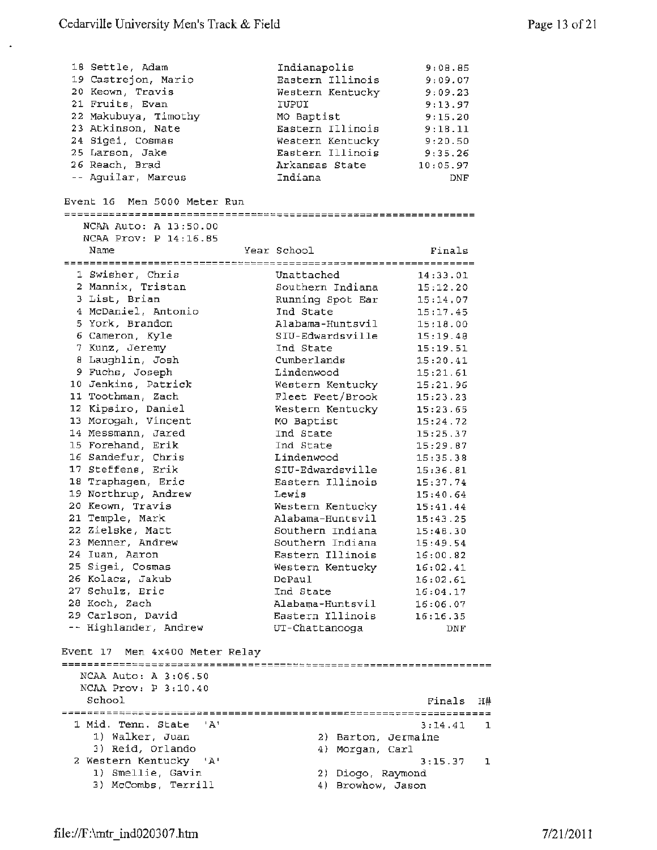$\star$ 

| 18 Settle, Adam<br>19 Castrejon, Mario<br>20 Keown, Travis<br>21 Fruits, Evan<br>22 Makubuya, Timothy<br>23 Atkinson, Nate<br>24 Sigei, Cosmas<br>25 Larson, Jake<br>26 Reach, Brad<br>-- Aguilar, Marcus | Indianapolis<br>Eastern Illinois<br>Western Kentucky<br>IUPUI<br>MO Baptist<br>Eastern Illinois<br>Western Kentucky<br>Eastern Illinois<br>Arkansas State<br>Indiana | 9:08.85<br>9:09.07<br>9:09.23<br>9:13.97<br>9:15.20<br>9:18.11<br>9:20.50<br>9:35.26<br>10:05.97<br><b>DNF</b> |              |
|-----------------------------------------------------------------------------------------------------------------------------------------------------------------------------------------------------------|----------------------------------------------------------------------------------------------------------------------------------------------------------------------|----------------------------------------------------------------------------------------------------------------|--------------|
| Event 16 Men 5000 Meter Run                                                                                                                                                                               |                                                                                                                                                                      |                                                                                                                |              |
| NCAA Auto: A 13:50.00                                                                                                                                                                                     |                                                                                                                                                                      |                                                                                                                |              |
| NCAA Prov: P 14:16.85                                                                                                                                                                                     |                                                                                                                                                                      |                                                                                                                |              |
| Name                                                                                                                                                                                                      | Year School                                                                                                                                                          | Finals                                                                                                         |              |
| 1 Swisher, Chris                                                                                                                                                                                          |                                                                                                                                                                      |                                                                                                                |              |
| 2 Mannix, Tristan                                                                                                                                                                                         | Unattached                                                                                                                                                           | 14:33.01                                                                                                       |              |
| 3 List, Brian                                                                                                                                                                                             | Southern Indiana<br>Running Spot Ear                                                                                                                                 | 15:12.20<br>15:14.07                                                                                           |              |
| 4 McDaniel, Antonio                                                                                                                                                                                       | Ind State                                                                                                                                                            | 15:17.45                                                                                                       |              |
| 5 York, Brandon                                                                                                                                                                                           | Alabama-Huntsvil                                                                                                                                                     | 15:18.00                                                                                                       |              |
| 6 Cameron, Kyle                                                                                                                                                                                           | SIU-Edwardsville                                                                                                                                                     | 15:19.48                                                                                                       |              |
| 7 Kunz, Jeremy                                                                                                                                                                                            | Ind State                                                                                                                                                            | 15:19.51                                                                                                       |              |
| 8 Laughlin, Josh                                                                                                                                                                                          | Cumberlands                                                                                                                                                          | 15:20.41                                                                                                       |              |
| 9 Fuchs, Joseph                                                                                                                                                                                           | Lindenwood                                                                                                                                                           | 15:21.61                                                                                                       |              |
| 10 Jenkins, Patrick                                                                                                                                                                                       | Western Kentucky                                                                                                                                                     | 15:21.96                                                                                                       |              |
| 11 Toothman, Zach                                                                                                                                                                                         | Fleet Feet/Brook                                                                                                                                                     | 15:23.23                                                                                                       |              |
| 12 Kipsiro, Daniel                                                                                                                                                                                        | Western Kentucky                                                                                                                                                     | 15:23.65                                                                                                       |              |
| 13 Morogah, Vincent                                                                                                                                                                                       | MO Baptist                                                                                                                                                           | 15:24.72                                                                                                       |              |
| 14 Messmann, Jared                                                                                                                                                                                        | Ind State                                                                                                                                                            | 15:25.37                                                                                                       |              |
| 15 Forehand, Erik                                                                                                                                                                                         | Ind State                                                                                                                                                            | 15:29.87                                                                                                       |              |
| 16 Sandefur, Chris                                                                                                                                                                                        | Lindenwood                                                                                                                                                           | 15:35.38                                                                                                       |              |
| 17 Steffens, Erik                                                                                                                                                                                         | SIU-Edwardsville                                                                                                                                                     | 15:36.81                                                                                                       |              |
| 18 Traphagen, Eric                                                                                                                                                                                        | Eastern Illinois                                                                                                                                                     | 15:37.74                                                                                                       |              |
| 19 Northrup, Andrew                                                                                                                                                                                       | Lewis                                                                                                                                                                | 15:40.64                                                                                                       |              |
| 20 Keown, Travis                                                                                                                                                                                          |                                                                                                                                                                      |                                                                                                                |              |
| 21 Temple, Mark                                                                                                                                                                                           | Western Kentucky<br>Alabama-Huntsvil                                                                                                                                 | 15:41.44                                                                                                       |              |
| 22 Zielske, Matt                                                                                                                                                                                          | Southern Indiana                                                                                                                                                     | 15:43.25<br>15:48.30                                                                                           |              |
|                                                                                                                                                                                                           |                                                                                                                                                                      |                                                                                                                |              |
| 23 Menner, Andrew<br>24 Iuan, Aaron                                                                                                                                                                       | Southern Indiana<br>Eastern Illinois                                                                                                                                 | 15:49.54                                                                                                       |              |
| 25 Sigei, Cosmas                                                                                                                                                                                          |                                                                                                                                                                      | 16:00.82                                                                                                       |              |
| 26 Kolacz, Jakub                                                                                                                                                                                          | Western Kentucky<br>DePaul                                                                                                                                           | 16:02.41<br>16:02.61                                                                                           |              |
| 27 Schulz, Eric                                                                                                                                                                                           | Ind State                                                                                                                                                            |                                                                                                                |              |
| 28 Koch, Zach                                                                                                                                                                                             | Alabama-Huntsvil                                                                                                                                                     | 16:04.17                                                                                                       |              |
| 29 Carlson, David                                                                                                                                                                                         | Eastern Illinois                                                                                                                                                     | 16:06.07                                                                                                       |              |
| -- Highlander, Andrew                                                                                                                                                                                     | UT-Chattanooga                                                                                                                                                       | 16:16.35<br>DNF                                                                                                |              |
|                                                                                                                                                                                                           |                                                                                                                                                                      |                                                                                                                |              |
| Event 17 Men 4x400 Meter Relay                                                                                                                                                                            |                                                                                                                                                                      |                                                                                                                |              |
|                                                                                                                                                                                                           |                                                                                                                                                                      |                                                                                                                |              |
| NCAA Auto: A 3:06.50                                                                                                                                                                                      |                                                                                                                                                                      |                                                                                                                |              |
| NCAA Prov: P 3:10.40                                                                                                                                                                                      |                                                                                                                                                                      |                                                                                                                |              |
| School                                                                                                                                                                                                    |                                                                                                                                                                      | Finals                                                                                                         | Η#           |
| 1 Mid. Tenn. State<br>$^{\mathrm{H}}$ A $^{\mathrm{H}}$                                                                                                                                                   |                                                                                                                                                                      |                                                                                                                |              |
| 1) Walker, Juan                                                                                                                                                                                           |                                                                                                                                                                      | 3:14.41                                                                                                        | 1            |
| 3) Reid, Orlando                                                                                                                                                                                          | 2) Barton, Jermaine                                                                                                                                                  |                                                                                                                |              |
| 2 Western Kentucky                                                                                                                                                                                        | 4) Morgan, Carl                                                                                                                                                      |                                                                                                                |              |
| י גי<br>1) Smellie, Gavin                                                                                                                                                                                 |                                                                                                                                                                      | 3:15.37                                                                                                        | $\mathbf{1}$ |
| 3) McCombs, Terrill                                                                                                                                                                                       | 2) Diogo, Raymond                                                                                                                                                    |                                                                                                                |              |
|                                                                                                                                                                                                           | 4) Browhow, Jason                                                                                                                                                    |                                                                                                                |              |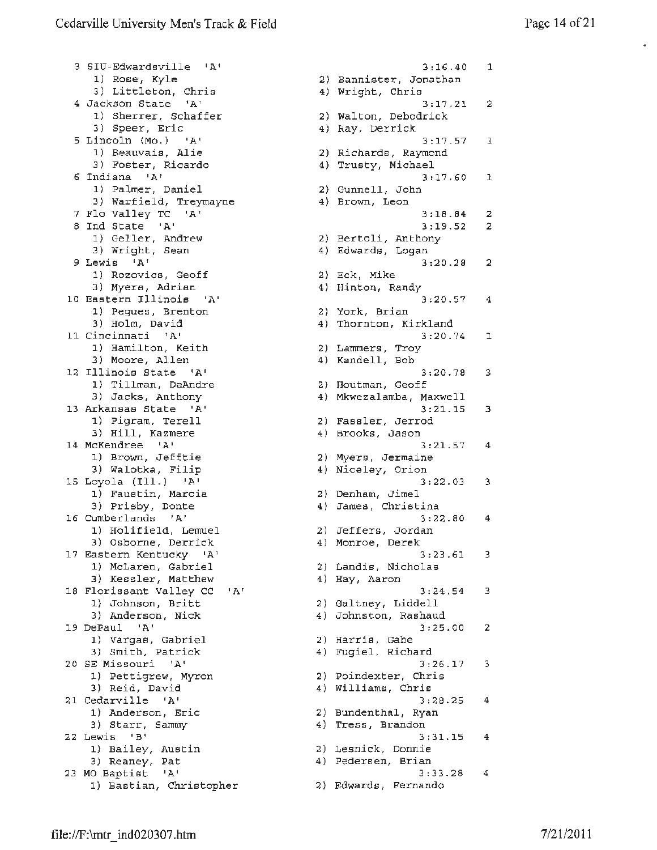3 SIU-Edwardsville 'A' 1) Rose, Kyle 3) Littleton, Chris 4 Jackson State 'A' 1) Sherrer, Schaffer 3) Speer, Eric 5 Lincoln (Mo.) 'A' 1) Beauvais, Alie 3) Foster, Ricardo 6 Indiana 'A' 1) Palmer, Daniel 3) Warfield, Treymayne 7 Flo Valley TC 'A' <sup>8</sup>Ind State 'A' 1) Geller, Andrew 3) Wright, Sean 9 Lewis 'A' 1) Rozovics, Geoff 3) Myers, Adrian 10 Eastern Illinois 'A' 1) Pegues, Brenton 3) Holm, David 11 Cincinnati 'A' 1) Hamilton, Keith 3) Moore, Allen 12 Illinois State 'A' 1) Tillman, DeAndre 3) Jacks, Anthony 13 Arkansas State 'A' 1) Pigram, Terell 3) Hill, Kazmere 14 McKendree 'A' 14 McKendree 'A'<br>1) Brown, Jefftie 3) Walotka, Filip 15 Loyola (Ill.) 'A' 1) Faustin, Marcia 3) Prisby, Donte 16 Cumberlands 'A' 1) Holifield, Lemuel<br>2) Ocharra Derrick 3) Osborne, Derrick 17 Eastern Kentucky 'A' 1) McLaren, Gabriel 3) Kessler, Matthew 18 Florissant Valley CC 'A' 1) Johnson, Britt 3) Anderson, Nick 19 DePaul 'A' 1) Vargas, Gabriel 3) Smith, Patrick 20 SE Missouri 'A' 1) Pettigrew, Myron 3) Reid, David 21 Cedarville 'A' 1) Anderson, Eric 3) Starr, Sammy 4) Tress, Brandon 3) Starr, Sammy<br>22 Lewis 'B' 1) Bailey, Austin 3) Reaney, Pat 23 MO Baptist 'A' 1) Bastian, Christopher 2) Edwards, Fernando

3:16.40 1 2) Bannister, Jonathan 4) Wright, Chris 3:17.21 2 2) Walton, Debodrick 4) Ray, Derrick 3:17.57 1 2) Richards, Raymond 4) Trusty, Michael 3:17.60 2) Gunnell, John 4) Brown, Leon 3:18.84 2 3:19.52 2) Bertoli, Anthony 4) Edwards, Logan 3:20.28 2 2) Eck, Mike 4) Hinton, Randy 3:20.57 2) York, Brian 4) Thornton, Kirkland 3:20.74 2) Lammers, Troy 4) Kandell, Bob 3:20.78 2) Houtman, Geoff 4) Mkwezalamba, Maxwell  $3:21.15$ 2) Fassler, Jerrod 4) Brooks, Jason 3:21.57 2) Myers, Jermaine 4) Niceley, Orion 3:22.03 2) Denham, Jimel 4) James, Christina 3:22.80 2) Jeffers, Jordan 4) Monroe, Derek 3:23.61 2) Landis, Nicholas 4) Hay, Aaron 3:24.54 2) Galtney, Liddell 4) Johnston, Rashaud 3:25.00 2) Harris, Gabe 4) Fugiel, Richard 3:26.17 2) Poindexter, Chris 4) Williams, Chris 4) Williams, Chris<br>3:28.25 2) Bundenthal, Ryan 3:31.15 2) Lesnick, Donnie 4) Pedersen, Brian 3:33.28 4 1 2  $3:20.57 4$ 1 3  $3:21.15$  3  $3:21.57$  4 3 4 3 3 2 3 4 4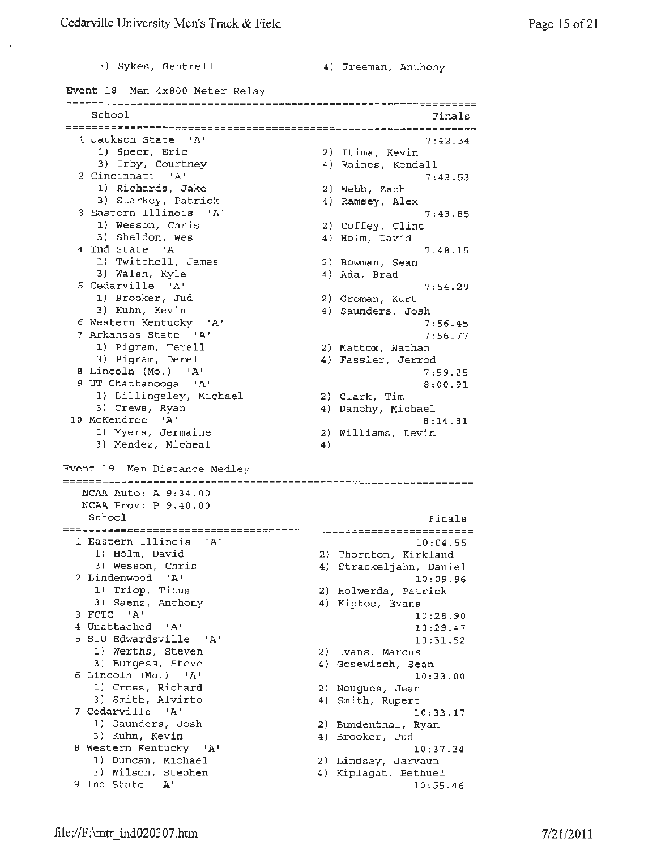3) Sykes, Gentrell 4) Freeman, Anthony Event 18 Men 4x800 Meter Relay School Finals 1 Jackson State 'A' 7:42.34 1) Speer, Eric 2) Itima, Kevin 3) Irby, Courtney 4) Raines, Kendall 2 Cincinnati 'A' 7:43.53 1) Richards, Jake 2) Webb, Zach 3) Starkey, Patrick 4) Ramsey, Alex 3 Eastern Illinois 'A' 7:43.85 1) Wesson, Chris 2) Coffey, Clint 3) Sheldon, Wes 4) Holm, David <sup>4</sup>Ind State 'A' 7:48.15 1) Twitchell, James 2) Bowman, Sean 4) Ada, Brad 3) Walsh, Kyle 5 Cedarville 'A' 7:54.29 1) Brooker, Jud 2) Groman, Kurt 3) Kuhn, Kevin 4) Saunders, Josh 6 Western Kentucky 'A' 7:56.45 7 Arkansas State 'A' 7:56.77 2) Mattox, Nathan 1) Pigram, Terell 3) Pigram, Derell 4) Fassler, Jerrod 8 Lincoln (Mo.) 'A' 7:59.25 9 UT-Chattanooga 'A' 8:00.91 1) Billingsley, Michael 2) Clark, *Tim*  3) Crews, Ryan 4) Danehy, Michael 10 McKendree 'A' 8:14.81 1) Myers, Jermaine 2) Williams, Devin 3) Mendez, Micheal 4) Event 19 Men Distance Medley NCAA Auto: A 9:34.00 NCAA Prov: P 9:48.00 School Finals 1 Eastern Illinois 'A' 10:04.55 2) Thornton, Kirkland<br>(2) Thornton, Kirkland 1) Holm, David 3) Wesson, Chris 4) Strackeljahn, Daniel 2 Lindenwood **'A'**  10:09.96 1) Triop, Titus 2) Holwerda, Patrick 3) Saenz, Anthony 4) Kiptoo, Evans 3 FCTC **'A'**  10:28.90 4 Unattached 'A' 10:29.47 5 SIU-Edwardsville 'A' 10:31.52 1) Werths, Steven 2) Evans, Marcus 3) Burgess, Steve 4) Gosewisch, Sean 6 Lincoln (Mo.) 'A' 10:33.00 1) Cross, Richard 2) Nougues, Jean 4) Smith, Rupert 3) Smith, Alvirto 7 Cedarville 'A' 10:33.17 1) Saunders, Josh 2) Bundenthal, Ryan 3) Kuhn, Kevin 4) Brooker, Jud 8 Western Kentucky **'A'**  10:37.34 1) Duncan, Michael 2) Lindsay, Jarvaun 3) Wilson, Stephen 4) Kiplagat, Bethuel 9 Ind State 'A' 10:55.46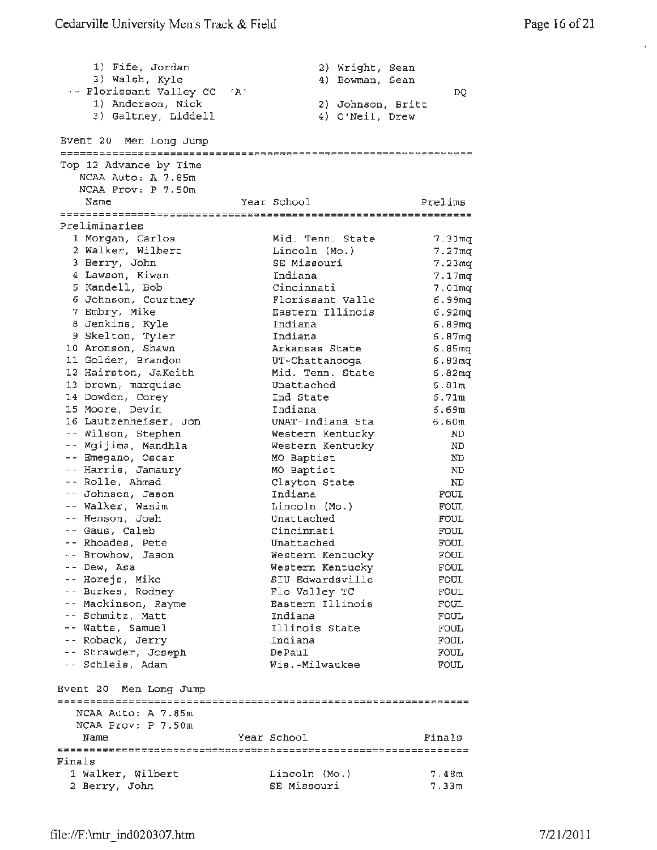$\mathbb{I}$ 

| 1) Fife, Jordan<br>3) Walsh, Kyle<br>-- Florissant Valley CC 'A'<br>1) Anderson, Nick<br>3) Galtney, Liddell |                          | 2) Wright, Sean<br>4) Bowman, Sean<br>2) Johnson, Britt<br>4) O'Neil, Drew | DQ                 |
|--------------------------------------------------------------------------------------------------------------|--------------------------|----------------------------------------------------------------------------|--------------------|
| Event 20 Men Long Jump                                                                                       |                          |                                                                            |                    |
|                                                                                                              |                          |                                                                            |                    |
| Top 12 Advance by Time<br>NCAA Auto: A 7.85m                                                                 |                          |                                                                            |                    |
| NCAA Prov: P 7.50m                                                                                           |                          |                                                                            |                    |
| Name                                                                                                         | Year School              |                                                                            | Prelims            |
|                                                                                                              |                          |                                                                            |                    |
| Preliminaries                                                                                                |                          |                                                                            |                    |
| 1 Morgan, Carlos                                                                                             | Mid. Tenn. State         |                                                                            | 7.31 <sub>mq</sub> |
| 2 Walker, Wilbert                                                                                            | Lincoln (Mo.)            |                                                                            | 7.27 <sub>mq</sub> |
| 3 Berry, John                                                                                                | SE Missouri              |                                                                            | 7.23 <sub>mq</sub> |
| 4 Lawson, Kiwan                                                                                              | Indiana                  |                                                                            | 7.17 <sub>mq</sub> |
| 5 Kandell, Bob                                                                                               | Cincinnati               |                                                                            | 7.01 <sub>mq</sub> |
| 6 Johnson, Courtney                                                                                          | Florissant Valle         |                                                                            | 6.99mq             |
| 7 Embry, Mike                                                                                                | Eastern Illinois         |                                                                            | 6.92mg             |
| 8 Jenkins, Kyle                                                                                              | Indiana                  |                                                                            | 6.89 <sub>mq</sub> |
| 9 Skelton, Tyler                                                                                             | Indiana                  |                                                                            | 6.87 <sub>mq</sub> |
| 10 Aronson, Shawn                                                                                            | Arkansas State           |                                                                            | 6.85 <sub>mq</sub> |
| 11 Golder, Brandon                                                                                           | UT-Chattanooga           |                                                                            | 6.83 <sub>mq</sub> |
| 12 Hairston, JaKeith                                                                                         | Mid. Tenn. State         |                                                                            | 6.82 <sub>mq</sub> |
| 13 brown, marquise                                                                                           | Unattached               |                                                                            | 6.81m              |
| 14 Dowden, Corey                                                                                             | Ind State                |                                                                            | 6.71m              |
| 15 Moore, Devin                                                                                              | Indiana                  |                                                                            | 6.69m              |
| 16 Lautzenheiser, Jon                                                                                        | UNAT-Indiana Sta         |                                                                            | 6.60m              |
| -- Wilson, Stephen                                                                                           | Western Kentucky         |                                                                            | ND                 |
| -- Mgijima, Mandhla<br>-- Emegano, Oscar                                                                     | Western Kentucky         |                                                                            | ND.<br>ND          |
| -- Harris, Jamaury                                                                                           | MO Baptist<br>MO Baptist |                                                                            | ND                 |
| -- Rolle, Ahmad                                                                                              | Clayton State            |                                                                            | ND                 |
| -- Johnson, Jason                                                                                            | Indiana                  |                                                                            | FOUL               |
| -- Walker, Wasim                                                                                             | Lincoln (Mo.)            |                                                                            | FOUL               |
| -- Henson, Josh                                                                                              | Unattached               |                                                                            | FOUL               |
| -- Gaus, Caleb                                                                                               | Cincinnati               |                                                                            | FOUL               |
| -- Rhoades, Pete                                                                                             | Unattached               |                                                                            | <b>FOUL</b>        |
| -- Browhow, Jason                                                                                            | Western Kentucky         |                                                                            | FOUL               |
| -- Dew, Asa                                                                                                  | Western Kentucky         |                                                                            | <b>FOUL</b>        |
| -- Horejs, Mike                                                                                              | SIU-Edwardsville         |                                                                            | <b>FOUL</b>        |
| -- Burkes, Rodney                                                                                            | Flo Valley TC            |                                                                            | FOUL               |
| -- Mackinson, Rayme                                                                                          | Eastern Illinois         |                                                                            | FOUL               |
| -- Schmitz, Matt                                                                                             | Indiana                  |                                                                            | FOUL               |
| -- Watts, Samuel                                                                                             | Illinois State           |                                                                            | FOUL               |
| -- Roback, Jerry                                                                                             | Indiana                  |                                                                            | FOUL               |
| -- Strawder, Joseph                                                                                          | DePaul                   |                                                                            | FOUL               |
| -- Schleis, Adam                                                                                             | Wis.-Milwaukee           |                                                                            | <b>FOUL</b>        |
| Event 20 Men Long Jump                                                                                       |                          |                                                                            |                    |
| NCAA Auto: A 7.85m                                                                                           |                          |                                                                            |                    |
| NCAA Prov: P 7.50m                                                                                           |                          |                                                                            |                    |
| Name                                                                                                         | Year School              |                                                                            | Finals             |
|                                                                                                              |                          |                                                                            |                    |
| Finals                                                                                                       |                          |                                                                            |                    |
| 1 Walker, Wilbert                                                                                            | Lincoln (Mo.)            |                                                                            | 7.48m              |
| 2 Berry, John                                                                                                | SE Missouri              |                                                                            | 7.33m              |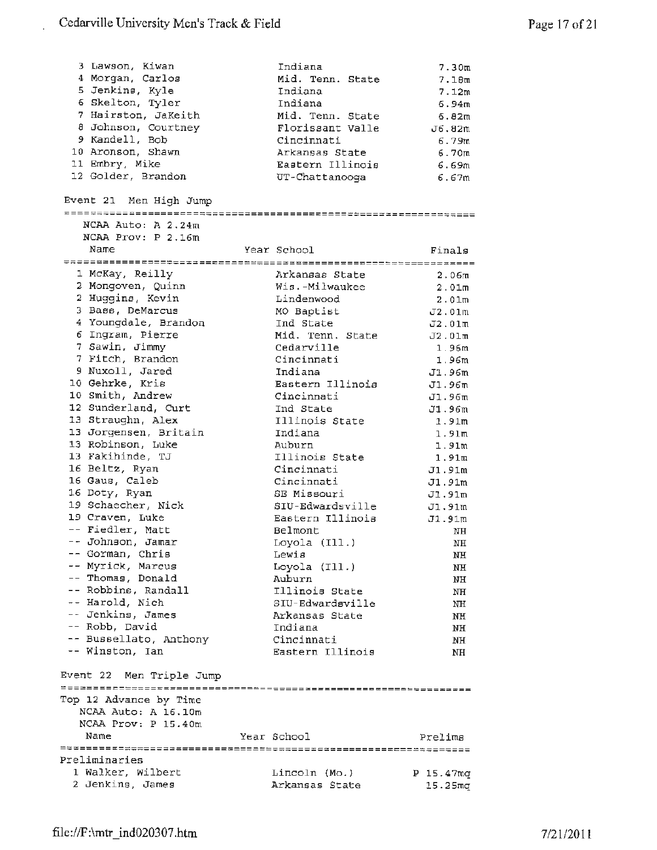t,

| 3 Lawson, Kiwan          |             | Indiana          |                  | 7.30m               |
|--------------------------|-------------|------------------|------------------|---------------------|
| 4 Morgan, Carlos         |             | Mid. Tenn. State |                  | 7.18m               |
| 5 Jenkins, Kyle          |             | Indiana          |                  | 7.12m               |
| 6 Skelton, Tyler         |             | Indiana          |                  | 6.94m               |
| 7 Hairston, JaKeith      |             | Mid. Tenn. State |                  | 6.82m               |
| 8 Johnson, Courtney      |             | Florissant Valle |                  | J6.82m              |
| 9 Kandell, Bob           |             | Cincinnati       |                  | 6.79m               |
| 10 Aronson, Shawn        |             | Arkansas State   |                  | 6.70 <sub>m</sub>   |
| 11 Embry, Mike           |             |                  | Eastern Illinois | 6.69m               |
| 12 Golder, Brandon       |             | UT-Chattanooga   |                  | 6.67m               |
| Event 21 Men High Jump   |             |                  |                  |                     |
| NCAA Auto: A 2.24m       |             |                  |                  |                     |
| NCAA Prov: P 2.16m       |             |                  |                  |                     |
| Name                     |             |                  |                  |                     |
|                          | Year School |                  |                  | Finals              |
| 1 McKay, Reilly          |             |                  |                  |                     |
| 2 Mongoven, Quinn        |             | Arkansas State   | Wis.-Milwaukee   | 2.06 <sub>m</sub>   |
| 2 Huggins, Kevin         |             |                  |                  | 2.01m               |
|                          |             | Lindenwood       |                  | 2.01 <sub>m</sub>   |
| 3 Bass, DeMarcus         |             | MO Baptist       |                  | J2.01m              |
| 4 Youngdale, Brandon     |             | Ind State        |                  | J2.01m              |
| 6 Ingram, Pierre         |             | Mid. Tenn. State |                  | J2.01 <sub>m</sub>  |
| 7 Sawin, Jimmy           |             | Cedarville       |                  | 1.96m               |
| 7 Fitch, Brandon         |             | Cincinnati       |                  | 1.96m               |
| 9 Nuxoll, Jared          |             | Indiana          |                  | J1.96m              |
| 10 Gehrke, Kris          |             | Eastern Illinois |                  | J1.96m              |
| 10 Smith, Andrew         |             | Cincinnati       |                  | J1.96m              |
| 12 Sunderland, Curt      |             | Ind State        |                  | J1.96m              |
| 13 Straughn, Alex        |             | Illinois State   |                  | 1.91m               |
| 13 Jorgensen, Britain    |             | Indiana          |                  | 1.91 <sub>m</sub>   |
| 13 Robinson, Luke        | Auburn      |                  |                  | 1.91m               |
| 13 Fakihinde, TJ         |             | Illinois State   |                  | 1.91 <sub>m</sub>   |
| 16 Beltz, Ryan           |             | Cincinnati       |                  | J1.91m              |
| 16 Gaus, Caleb           |             | Cincinnati       |                  | J1.91m              |
| 16 Doty, Ryan            |             | SE Missouri      |                  | J1.91m              |
| 19 Schaecher, Nick       |             | SIU-Edwardsville |                  | J1.91m              |
| 19 Craven, Luke          |             | Eastern Illinois |                  | J1.91m              |
| -- Fiedler, Matt         | Belmont     |                  |                  | NH                  |
| -- Johnson, Jamar        |             | Loyola (Ill.)    |                  | $\rm{NH}$           |
| -- Gorman, Chris         | Lewis       |                  |                  | NH                  |
| -- Myrick, Marcus        |             | Loyola (Ill.)    |                  | NH                  |
| -- Thomas, Donald        | Auburn      |                  |                  | NH                  |
| -- Robbins, Randall      |             | Illinois State   |                  | ΝH                  |
| -- Harold, Nich          |             | SIU-Edwardsville |                  | NH                  |
| -- Jenkins, James        |             | Arkansas State   |                  | NH                  |
| -- Robb, David           | Indiana     |                  |                  | NH                  |
| -- Bussellato, Anthony   |             | Cincinnati       |                  | NH                  |
| -- Winston, Ian          |             | Eastern Illinois |                  | NH                  |
|                          |             |                  |                  |                     |
| Event 22 Men Triple Jump |             |                  |                  |                     |
|                          |             |                  |                  |                     |
| Top 12 Advance by Time   |             |                  |                  |                     |
| NCAA Auto: A 16.10m      |             |                  |                  |                     |
| NCAA Prov: P 15.40m      |             |                  |                  |                     |
| Name                     | Year School |                  |                  | Prelims             |
|                          |             |                  |                  |                     |
| Preliminaries            |             |                  |                  |                     |
| 1 Walker, Wilbert        |             | Lincoln (Mo.)    |                  | P 15.47mq           |
| 2 Jenkins, James         |             | Arkansas State   |                  | 15.25 <sub>mq</sub> |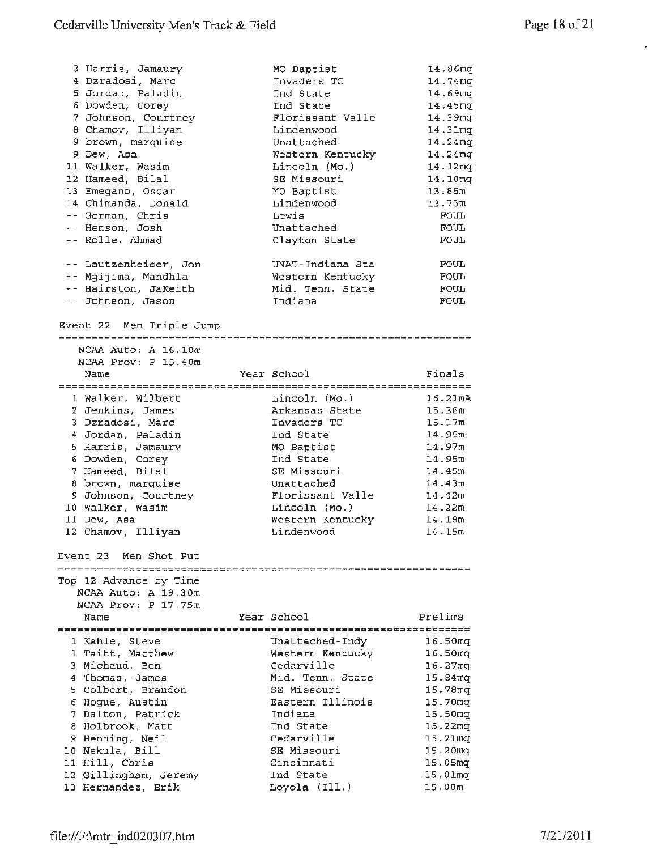$\bar{\star}$ 

| 3 Harris, Jamaury<br>4 Dzradosi, Marc | MO Baptist<br>Invaders TC | 14.86mg<br>14.74 <sub>mq</sub> |
|---------------------------------------|---------------------------|--------------------------------|
| 5 Jordan, Paladin                     | Ind State                 | 14.69 <sub>mq</sub>            |
| 6 Dowden, Corey                       | Ind State                 | 14.45 <sub>mq</sub>            |
| 7 Johnson, Courtney                   | Florissant Valle          | 14.39mg                        |
| 8 Chamov, Illiyan                     | Lindenwood                | 14.31 <sub>mq</sub>            |
| 9 brown, marquise                     | Unattached                | $14.24 \text{mq}$              |
| 9 Dew, Asa                            | Western Kentucky          | 14.24 <sub>mq</sub>            |
|                                       |                           |                                |
| 11 Walker, Wasim                      | Lincoln (Mo.)             | 14.12mg                        |
| 12 Hameed, Bilal                      | SE Missouri               | 14.10 <sub>mq</sub>            |
| 13 Emegano, Oscar                     | MO Baptist                | 13.85m                         |
| 14 Chimanda, Donald                   | Lindenwood                | 13.73m                         |
| -- Gorman, Chris                      | Lewis                     | <b>FOUL</b>                    |
| -- Henson, Josh                       | Unattached                | FOUL                           |
| -- Rolle, Ahmad                       | Clayton State             | <b>FOUL</b>                    |
| -- Lautzenheiser, Jon                 | UNAT-Indiana Sta          | FOUL                           |
| -- Mgijima, Mandhla                   | Western Kentucky          | <b>FOUL</b>                    |
| -- Hairston, JaKeith                  | Mid. Tenn. State          | FOUL                           |
| -- Johnson, Jason                     | Indiana                   | FOUL                           |
| Event 22 Men Triple Jump              |                           |                                |
| NCAA Auto: A 16.10m                   |                           |                                |
| NCAA Prov: P 15.40m                   |                           |                                |
| Name                                  | Year School               | Finals                         |
|                                       |                           |                                |
| 1 Walker, Wilbert                     | Lincoln (Mo.)             | 16.21 <sub>mA</sub>            |
| 2 Jenkins, James                      | Arkansas State            | 15.36m                         |
| 3 Dzradosi, Marc                      | Invaders TC               | 15.17m                         |
| 4 Jordan, Paladin                     | Ind State                 | 14.99m                         |
| 5 Harris, Jamaury                     | MO Baptist                | 14.97m                         |
| 6 Dowden, Corey                       | Ind State                 | 14.95m                         |
| 7 Hameed, Bilal                       | SE Missouri               | 14.49m                         |
| 8 brown, marquise                     | Unattached                | 14.43m                         |
| 9 Johnson, Courtney                   | Florissant Valle          | 14.42m                         |
| 10 Walker, Wasim                      | Lincoln (Mo.)             | 14.22m                         |
| 11 Dew, Asa                           | Western Kentucky          | 14.18m                         |
| 12 Chamov, Illiyan                    | Lindenwood                | 14.15m                         |
| Event 23 Men Shot Put                 |                           |                                |
|                                       |                           |                                |
| Top 12 Advance by Time                |                           |                                |
| NCAA Auto: A 19.30m                   |                           |                                |
| NCAA Prov: P 17.75m                   |                           |                                |
| Name                                  | Year School               | Prelims                        |
| 1 Kahle, Steve                        | Unattached-Indv           | 16.50mg                        |
| 1 Taitt, Matthew                      | Western Kentucky          | 16.50 <sub>mq</sub>            |
| 3 Michaud, Ben                        | Cedarville                | 16.27mg                        |
| 4 Thomas, James                       | Mid. Tenn. State          | 15.84 <sub>mq</sub>            |
| 5 Colbert, Brandon                    | SE Missouri               | 15.78mg                        |
| 6 Hogue, Austin                       | Eastern Illinois          | 15.70 <sub>mq</sub>            |
| 7 Dalton, Patrick                     | Indiana                   | 15.50 <sub>mq</sub>            |
| 8 Holbrook, Matt                      | Ind State                 | 15.22mg                        |
| 9 Henning, Neil                       | Cedarville                | 15.21 <sub>mq</sub>            |
| 10 Nekula, Bill                       | SE Missouri               | 15.20mq                        |
| 11 Hill, Chris                        | Cincinnati                | 15.05mq                        |
| 12 Gillingham, Jeremy                 | Ind State                 | 15.01mq                        |
| 13 Hernandez, Erik                    | Loyola (Ill.)             | 15.00m                         |
|                                       |                           |                                |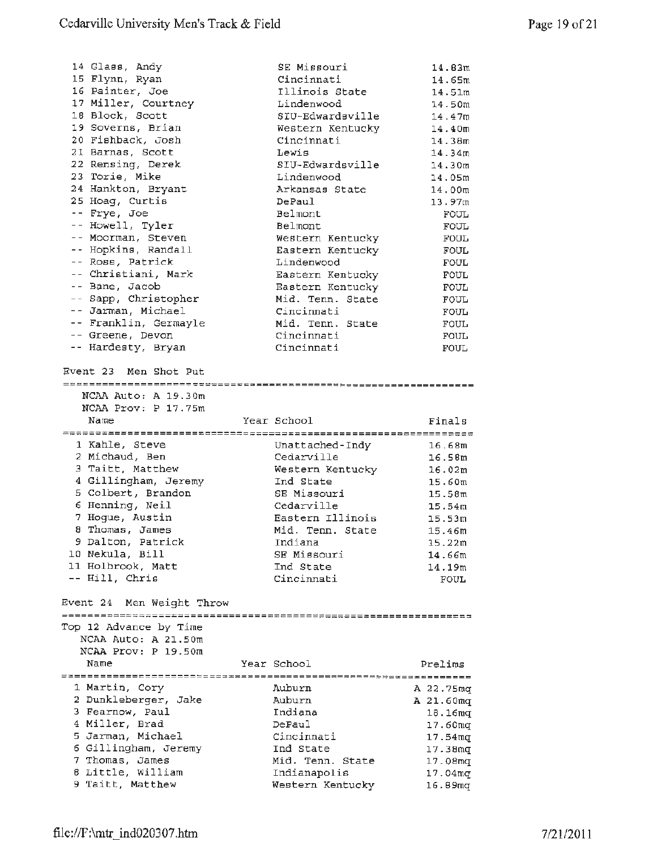| 14 Glass, Andy                        | SE Missouri                      | 14.83m                         |
|---------------------------------------|----------------------------------|--------------------------------|
| 15 Flynn, Ryan                        | Cincinnati                       | 14.65m                         |
| 16 Painter, Joe                       | Illinois State                   | 14.51m                         |
| 17 Miller, Courtney                   | Lindenwood                       | 14.50m                         |
| 18 Block, Scott                       | SIU-Edwardsville                 | 14.47m                         |
| 19 Soverns, Brian                     | Western Kentucky                 | 14.40m                         |
| 20 Fishback, Josh                     | Cincinnati                       | 14.38m                         |
| 21 Barnas, Scott                      | Lewis                            | 14.34m                         |
| 22 Rensing, Derek                     | SIU-Edwardsville                 | 14.30m                         |
| 23 Torie, Mike                        | Lindenwood                       | 14.05m                         |
| 24 Hankton, Bryant                    | Arkansas State                   | 14.00 <sub>π</sub>             |
| 25 Hoag, Curtis                       | DePaul                           | 13.97m                         |
| -- Frye, Joe                          | Belmont                          | <b>FOUL</b>                    |
| -- Howell, Tyler                      | Belmont                          | FOUL                           |
| -- Moorman, Steven                    | Western Kentucky                 | FOUL                           |
| -- Hopkins, Randall                   | Eastern Kentucky                 | FOUL                           |
| -- Ross, Patrick                      | Lindenwood                       | FOUL                           |
| -- Christiani, Mark                   | Eastern Kentucky                 | FOUL                           |
| -- Bane, Jacob                        | Eastern Kentucky                 | FOUL                           |
| -- Sapp, Christopher                  | Mid. Tenn. State                 | FOUL                           |
| -- Jarman, Michael                    | Cincinnati                       | <b>FOUL</b>                    |
| -- Franklin, Germayle                 | Mid. Tenn, State                 | FOUL                           |
| -- Greene, Devon                      | Cincinnati                       | FOUL                           |
| -- Hardesty, Bryan                    | Cincinnati                       | <b>FOUL</b>                    |
|                                       |                                  |                                |
| Event 23 Men Shot Put                 |                                  |                                |
|                                       |                                  |                                |
| NCAA Auto: A 19.30m                   |                                  |                                |
| NCAA Prov: P 17.75m                   |                                  |                                |
|                                       |                                  |                                |
| Name                                  | Year School                      | Finals                         |
|                                       |                                  |                                |
| 1 Kahle, Steve                        | Unattached-Indy                  | 16.68m                         |
| 2 Michaud, Ben                        | Cedarville                       | 16.58m                         |
| 3 Taitt, Matthew                      | Western Kentucky                 | 16.02m                         |
| 4 Gillingham, Jeremy                  | Ind State                        | 15.60m                         |
| 5 Colbert, Brandon                    | SE Missouri                      | 15.58m                         |
| 6 Henning, Neil                       | Cedarville                       | 15.54 <sub>m</sub>             |
| 7 Hogue, Austin                       | Eastern Illinois                 | 15.53m                         |
| 8 Thomas, James                       | Mid. Tenn. State                 | 15.46m                         |
| 9 Dalton, Patrick                     | Indiana                          | 15.22m                         |
| 10 Nekula, Bill                       | SE Missouri                      | 14.66m                         |
| 11 Holbrook, Matt                     | Ind State                        | 14.19m                         |
| -- Hill, Chris                        | Cincinnati                       | <b>FOUL</b>                    |
| Event 24 Men Weight Throw             |                                  |                                |
|                                       |                                  |                                |
| Top 12 Advance by Time                |                                  |                                |
| NCAA Auto: A 21.50m                   |                                  |                                |
| NCAA Prov: P 19.50m                   |                                  |                                |
| Name                                  | Year School                      | Prelims                        |
|                                       |                                  |                                |
| 1 Martin, Cory                        | Auburn                           | A 22.75mg                      |
| 2 Dunkleberger, Jake                  | Auburn                           | A 21.60mq                      |
| 3 Fearnow, Paul                       | Indiana                          | 18.16 <sub>mq</sub>            |
| 4 Miller, Brad                        | DePaul                           | 17.60mg                        |
| 5 Jarman, Michael                     | Cincinnati                       | $17.54 \text{ mq}$             |
| 6 Gillingham, Jeremy                  | Ind State                        | 17.38 <sub>mq</sub>            |
| 7 Thomas, James                       | Mid. Tenn. State                 | 17.08 <sub>mq</sub>            |
| 8 Little, William<br>9 Taitt, Matthew | Indianapolis<br>Western Kentucky | 17.04 <sub>mq</sub><br>16.89mg |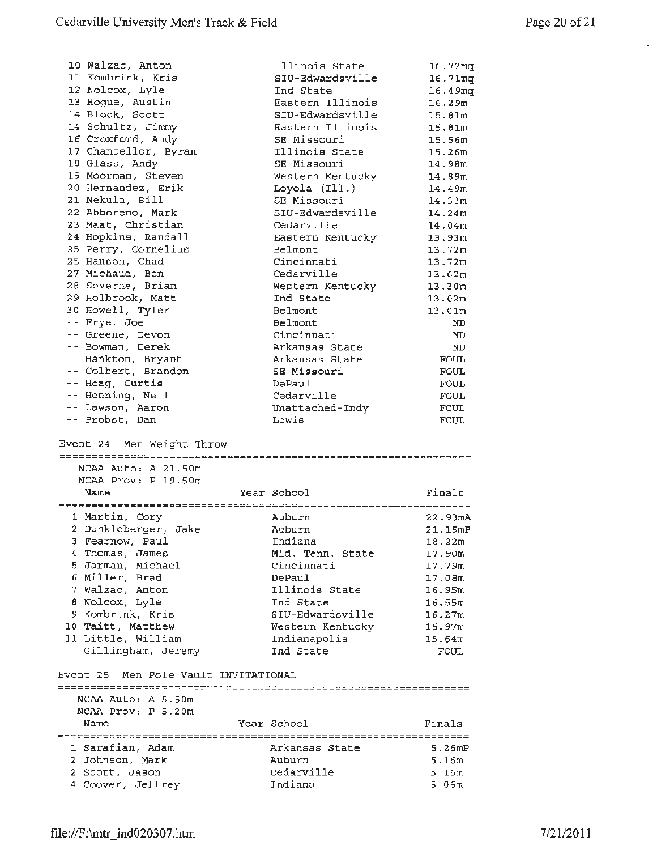$\bar{\mathcal{L}}$ 

| 10 Walzac, Anton<br>11 Kombrink, Kris<br>12 Nolcox, Lyle<br>13 Hogue, Austin | Illinois State<br>SIU-Edwardsville<br>Ind State | 16.72 <sub>mq</sub><br>16.71mq<br>16.49mg |
|------------------------------------------------------------------------------|-------------------------------------------------|-------------------------------------------|
| 14 Block, Scott                                                              | Eastern Illinois<br>SIU-Edwardsville            | 16.29m                                    |
| 14 Schultz, Jimmy                                                            | Eastern Illinois                                | 15.81 <sub>m</sub>                        |
| 16 Croxford, Andy                                                            | SE Missouri                                     | 15.81m<br>15.56m                          |
| 17 Chancellor, Byran                                                         | Illinois State                                  | 15.26m                                    |
| 18 Glass, Andy                                                               | SE Missouri                                     | 14.98m                                    |
| 19 Moorman, Steven                                                           | Western Kentucky                                | 14.89m                                    |
| 20 Hernandez, Erik                                                           | Loyola (Ill.)                                   | 14.49m                                    |
| 21 Nekula, Bill                                                              | SE Missouri                                     | 14.33m                                    |
| 22 Abboreno, Mark                                                            | SIU-Edwardsville                                | 14.24m                                    |
| 23 Maat, Christian                                                           | Cedarville                                      | 14.04m                                    |
| 24 Hopkins, Randall                                                          | Eastern Kentucky                                | 13.93m                                    |
| 25 Perry, Cornelius                                                          | <b>Belmont</b>                                  | 13.72m                                    |
| 25 Hanson, Chad                                                              | Cincinnati                                      | 13.72m                                    |
| 27 Michaud, Ben                                                              | Cedarville                                      | 13.62m                                    |
| 28 Soverns, Brian                                                            | Western Kentucky                                | 13.30m                                    |
| 29 Holbrook, Matt                                                            | Ind State                                       | 13.02m                                    |
| 30 Howell, Tyler                                                             | Belmont                                         | 13.01m                                    |
| -- Frye, Joe                                                                 | Belmont                                         | ND.                                       |
| -- Greene, Devon                                                             | Cincinnati                                      | ND                                        |
| -- Bowman, Derek                                                             | Arkansas State                                  | ND                                        |
| -- Hankton, Bryant                                                           | Arkansas State                                  | <b>FOUL</b>                               |
| -- Colbert, Brandon                                                          | SE Missouri                                     | <b>FOUL</b>                               |
| -- Hoag, Curtis                                                              | DePaul                                          | <b>FOUL</b>                               |
| -- Henning, Neil                                                             | Cedarville                                      | <b>FOUL</b>                               |
| -- Lawson, Aaron                                                             | Unattached-Indy                                 | FOUL                                      |
| -- Probst, Dan                                                               | Lewis                                           | <b>FOUL</b>                               |
|                                                                              |                                                 |                                           |
| Event 24 Men Weight Throw<br>NCAA Auto: A 21.50m<br>NCAA Prov: P 19.50m      |                                                 |                                           |
| Name                                                                         | Year School                                     | Finals                                    |
|                                                                              |                                                 |                                           |
| 1 Martin, Cory                                                               | Auburn                                          | 22.93 <sub>mA</sub>                       |
| 2 Dunkleberger, Jake                                                         | Auburn                                          | 21.19mP                                   |
| 3 Fearnow, Paul                                                              | Indiana                                         | 18.22m                                    |
| 4 Thomas, James                                                              | Mid. Tenn. State                                | 17.90m                                    |
| 5 Jarman, Michael                                                            | Cincinnati                                      | 17.79m                                    |
| 6 Miller, Brad                                                               | DePaul                                          | 17.08m                                    |
| 7 Walzac, Anton                                                              | Illinois State                                  | 16.95m                                    |
| 8 Nolcox, Lyle                                                               | Ind State                                       | 16.55m                                    |
| 9 Kombrink, Kris                                                             | SIU-Edwardsville                                | 16.27m                                    |
| 10 Taitt, Matthew                                                            | Western Kentucky                                | 15.97m                                    |
| 11 Little, William                                                           | Indianapolis                                    | 15.64m                                    |
| -- Gillingham, Jeremy                                                        | Ind State                                       | FOUL                                      |
| Event 25 Men Pole Vault INVITATIONAL                                         |                                                 |                                           |
| NCAA Auto: A 5.50m<br>NCAA Prov: P 5.20m                                     |                                                 |                                           |
| Name                                                                         | Year School                                     | Finals                                    |
|                                                                              |                                                 |                                           |
| 1 Sarafian, Adam                                                             | Arkansas State                                  | 5.26 MP                                   |
| 2 Johnson, Mark                                                              | Auburn                                          | 5.16m                                     |
| 2 Scott, Jason<br>4 Coover, Jeffrey                                          | Cedarville<br>Indiana                           | 5.16m<br>5.06m                            |